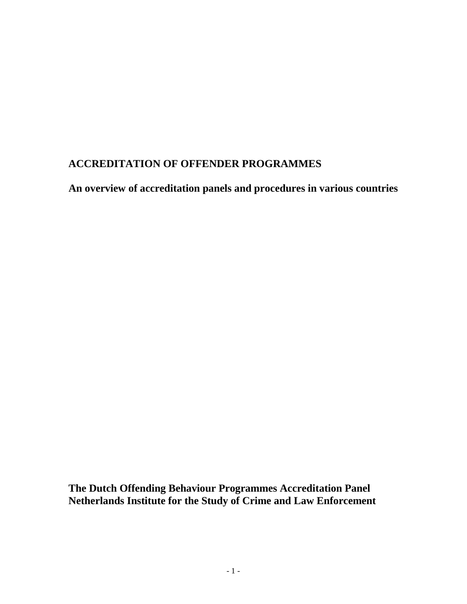# **ACCREDITATION OF OFFENDER PROGRAMMES**

**An overview of accreditation panels and procedures in various countries**

**The Dutch Offending Behaviour Programmes Accreditation Panel Netherlands Institute for the Study of Crime and Law Enforcement**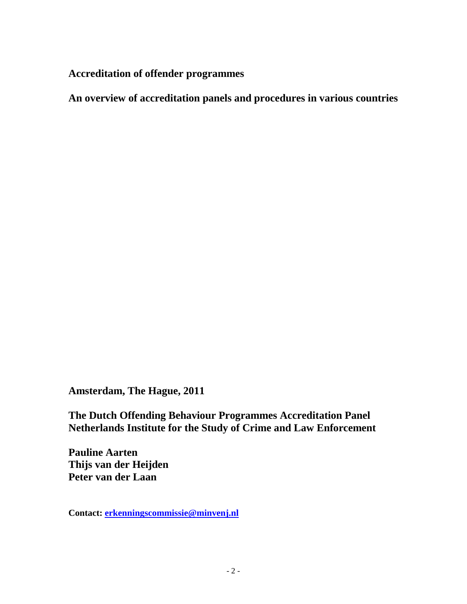**Accreditation of offender programmes**

**An overview of accreditation panels and procedures in various countries**

**Amsterdam, The Hague, 2011**

**The Dutch Offending Behaviour Programmes Accreditation Panel Netherlands Institute for the Study of Crime and Law Enforcement**

**Pauline Aarten Thijs van der Heijden Peter van der Laan**

**Contact: [erkenningscommissie@minvenj.nl](mailto:erkenningscommissie@minvenj.nl)**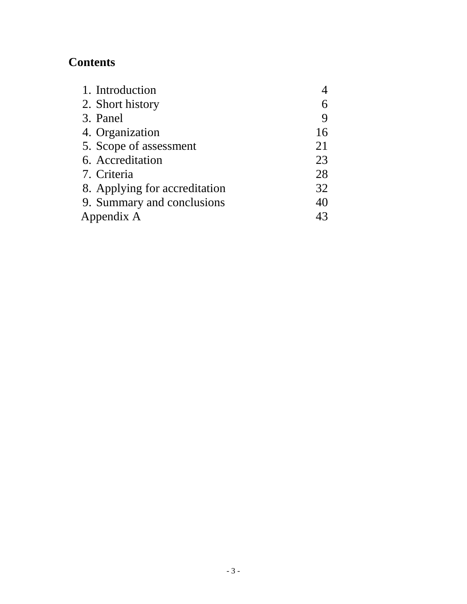# **Contents**

| 1. Introduction               |    |
|-------------------------------|----|
| 2. Short history              |    |
| 3. Panel                      | 9  |
| 4. Organization               | 16 |
| 5. Scope of assessment        | 21 |
| 6. Accreditation              | 23 |
| 7. Criteria                   | 28 |
| 8. Applying for accreditation | 32 |
| 9. Summary and conclusions    | 40 |
| Appendix A                    |    |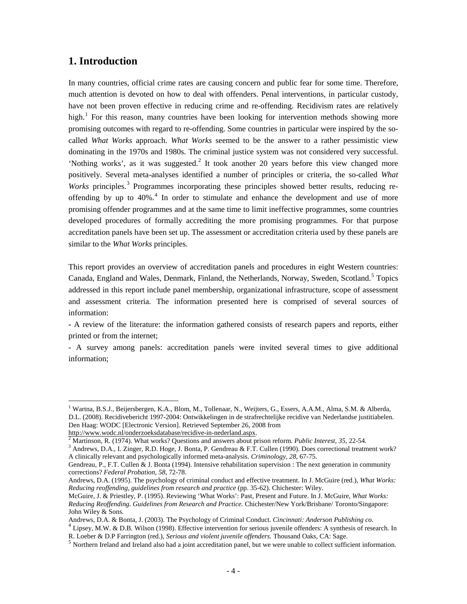# **1. Introduction**

In many countries, official crime rates are causing concern and public fear for some time. Therefore, much attention is devoted on how to deal with offenders. Penal interventions, in particular custody, have not been proven effective in reducing crime and re-offending. Recidivism rates are relatively high.<sup>[1](#page-3-0)</sup> For this reason, many countries have been looking for intervention methods showing more promising outcomes with regard to re-offending. Some countries in particular were inspired by the socalled *What Works* approach. *What Works* seemed to be the answer to a rather pessimistic view dominating in the 1970s and 1980s. The criminal justice system was not considered very successful. 'Nothing works', as it was suggested.<sup>[2](#page-3-1)</sup> It took another 20 years before this view changed more positively. Several meta-analyses identified a number of principles or criteria, the so-called *What Works* principles.<sup>[3](#page-3-2)</sup> Programmes incorporating these principles showed better results, reducing reoffending by up to  $40\%$  $40\%$ <sup>4</sup>. In order to stimulate and enhance the development and use of more promising offender programmes and at the same time to limit ineffective programmes, some countries developed procedures of formally accrediting the more promising programmes. For that purpose accreditation panels have been set up. The assessment or accreditation criteria used by these panels are similar to the *What Works* principles.

This report provides an overview of accreditation panels and procedures in eight Western countries: Canada, England and Wales, Denmark, Finland, the Netherlands, Norway, Sweden, Scotland.<sup>[5](#page-3-4)</sup> Topics addressed in this report include panel membership, organizational infrastructure, scope of assessment and assessment criteria. The information presented here is comprised of several sources of information:

**-** A review of the literature: the information gathered consists of research papers and reports, either printed or from the internet;

- A survey among panels: accreditation panels were invited several times to give additional information;

<span id="page-3-0"></span><sup>&</sup>lt;sup>1</sup> Wartna, B.S.J., Beijersbergen, K.A., Blom, M., Tollenaar, N., Weijters, G., Essers, A.A.M., Alma, S.M. & Alberda, D.L. (2008). Recidivebericht 1997-2004: Ontwikkelingen in de strafrechtelijke recidive van Nederlandse justitiabelen. Den Haag: WODC [Electronic Version]. Retrieved September 26, 2008 from http://www.wodc.nl/onderzoeksdatabase/recidive-in-nederland.aspx.

<span id="page-3-2"></span><span id="page-3-1"></span>

<sup>&</sup>lt;sup>[2](http://www.wodc.nl/onderzoeksdatabase/recidive-in-nederland.aspx)</sup> Martinson, R. (1974). What works? Questions and answers about prison reform. *Public Interest*, 35, 22-54.<br><sup>3</sup> Andrews, D.A., I. Zinger, R.D. Hoge, J. Bonta, P. Gendreau & F.T. Cullen (1990). Does correctional treatme A clinically relevant and psychologically informed meta-analysis. *Criminology, 28*, 67-75.

Gendreau, P., F.T. Cullen & J. Bonta (1994). Intensive rehabilitation supervision : The next generation in community corrections? *Federal Probation, 58*, 72-78.

Andrews, D.A. (1995). The psychology of criminal conduct and effective treatment. In J. McGuire (red.), *What Works: Reducing reoffending, guidelines from research and practice* (pp. 35-62). Chichester: Wiley.

McGuire, J. & Priestley, P. (1995). Reviewing 'What Works': Past, Present and Future. In J. McGuire, *What Works: Reducing Reoffending. Guidelines from Research and Practice.* Chichester/New York/Brisbane/ Toronto/Singapore: John Wiley & Sons.

<span id="page-3-3"></span>

Andrews, D.A. & Bonta, J. (2003). The Psychology of Criminal Conduct. *Cincinnati: Anderson Publishing co*.<br><sup>4</sup> Lipsey, M.W. & D.B. Wilson (1998). Effective intervention for serious juvenile offenders: A synthesis of resea

<span id="page-3-4"></span> $<sup>5</sup>$  Northern Ireland and Ireland also had a joint accreditation panel, but we were unable to collect sufficient information.</sup>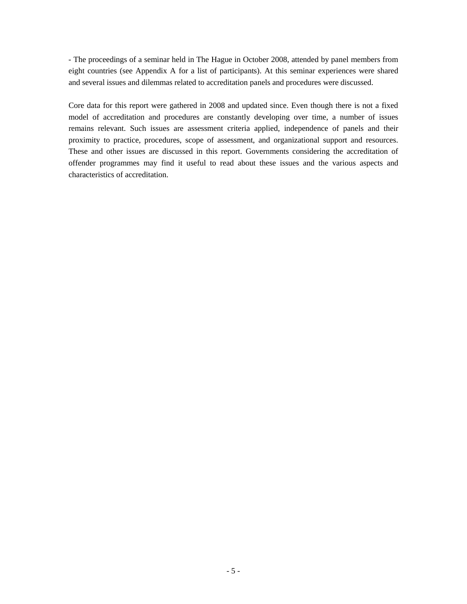- The proceedings of a seminar held in The Hague in October 2008, attended by panel members from eight countries (see Appendix A for a list of participants). At this seminar experiences were shared and several issues and dilemmas related to accreditation panels and procedures were discussed.

Core data for this report were gathered in 2008 and updated since. Even though there is not a fixed model of accreditation and procedures are constantly developing over time, a number of issues remains relevant. Such issues are assessment criteria applied, independence of panels and their proximity to practice, procedures, scope of assessment, and organizational support and resources. These and other issues are discussed in this report. Governments considering the accreditation of offender programmes may find it useful to read about these issues and the various aspects and characteristics of accreditation.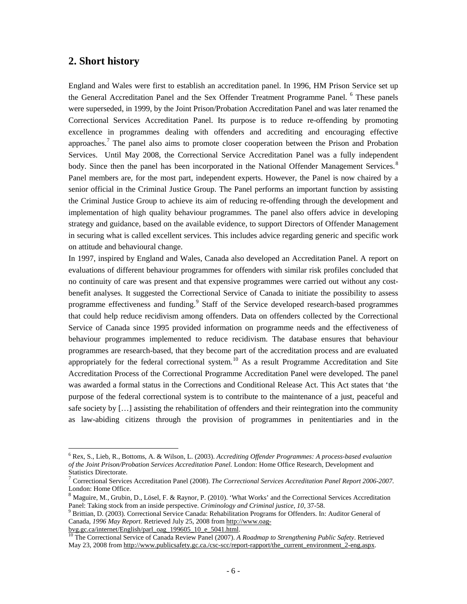# **2. Short history**

England and Wales were first to establish an accreditation panel. In 1996, HM Prison Service set up the General Accreditation Panel and the Sex Offender Treatment Programme Panel. <sup>[6](#page-5-0)</sup> These panels were superseded, in 1999, by the Joint Prison/Probation Accreditation Panel and was later renamed the Correctional Services Accreditation Panel. Its purpose is to reduce re-offending by promoting excellence in programmes dealing with offenders and accrediting and encouraging effective approaches.[7](#page-5-1) The panel also aims to promote closer cooperation between the Prison and Probation Services. Until May 2008, the Correctional Service Accreditation Panel was a fully independent body. Since then the panel has been incorporated in the National Offender Management Services.<sup>[8](#page-5-2)</sup> Panel members are, for the most part, independent experts. However, the Panel is now chaired by a senior official in the Criminal Justice Group. The Panel performs an important function by assisting the Criminal Justice Group to achieve its aim of reducing re-offending through the development and implementation of high quality behaviour programmes. The panel also offers advice in developing strategy and guidance, based on the available evidence, to support Directors of Offender Management in securing what is called excellent services. This includes advice regarding generic and specific work on attitude and behavioural change.

In 1997, inspired by England and Wales, Canada also developed an Accreditation Panel. A report on evaluations of different behaviour programmes for offenders with similar risk profiles concluded that no continuity of care was present and that expensive programmes were carried out without any costbenefit analyses. It suggested the Correctional Service of Canada to initiate the possibility to assess programme effectiveness and funding.<sup>[9](#page-5-3)</sup> Staff of the Service developed research-based programmes that could help reduce recidivism among offenders. Data on offenders collected by the Correctional Service of Canada since 1995 provided information on programme needs and the effectiveness of behaviour programmes implemented to reduce recidivism. The database ensures that behaviour programmes are research-based, that they become part of the accreditation process and are evaluated appropriately for the federal correctional system.<sup>[10](#page-5-4)</sup> As a result Programme Accreditation and Site Accreditation Process of the Correctional Programme Accreditation Panel were developed. The panel was awarded a formal status in the Corrections and Conditional Release Act. This Act states that 'the purpose of the federal correctional system is to contribute to the maintenance of a just, peaceful and safe society by […] assisting the rehabilitation of offenders and their reintegration into the community as law-abiding citizens through the provision of programmes in penitentiaries and in the

<span id="page-5-0"></span> <sup>6</sup> Rex, S., Lieb, R., Bottoms, A. & Wilson, L. (2003). *Accrediting Offender Programmes: A process-based evaluation of the Joint Prison/Probation Services Accreditation Panel.* London: Home Office Research, Development and Statistics Directorate.

<span id="page-5-1"></span><sup>7</sup> Correctional Services Accreditation Panel (2008). *The Correctional Services Accreditation Panel Report 2006-2007.* London: Home Office.

<span id="page-5-2"></span><sup>8</sup> Maguire, M., Grubin, D., Lösel, F. & Raynor, P. (2010). 'What Works' and the Correctional Services Accreditation Panel: Taking stock from an inside perspective. *Criminology and Criminal justice, 10*, 37-58.<br><sup>9</sup> Brittian, D. (2003). Correctional Service Canada: Rehabilitation Programs for Offenders. In: Auditor General of

<span id="page-5-3"></span>Canada, *1996 May Report*. Retrieved July 25, 2008 from http://www.oag-<br>byg.gc.ca/internet/English/parl\_oag\_199605\_10\_e\_5041.html.

<span id="page-5-4"></span><sup>&</sup>lt;sup>10</sup> The Correctional Service of Canada Review Panel (2007). *A Roadmap to Strengthening Public Safety*. Retrieved May 23, 2008 from [http://www.publicsafety.gc.ca./csc-scc/report-rapport/the\\_current\\_environment\\_2-eng.aspx.](http://www.publicsafety.gc.ca./csc-scc/report-rapport/the_current_environment_2-eng.aspx)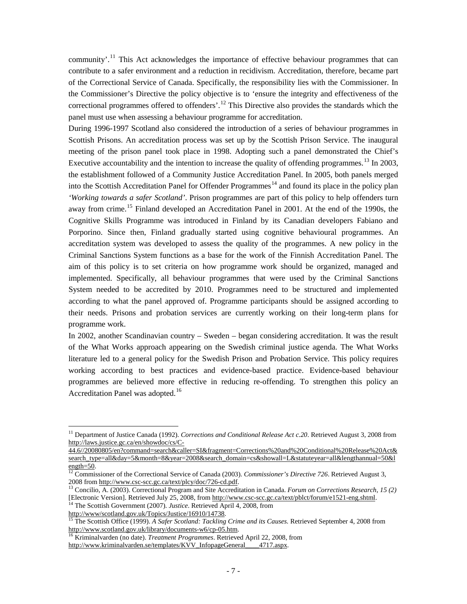community'.<sup>[11](#page-6-0)</sup> This Act acknowledges the importance of effective behaviour programmes that can contribute to a safer environment and a reduction in recidivism. Accreditation, therefore, became part of the Correctional Service of Canada. Specifically, the responsibility lies with the Commissioner. In the Commissioner's Directive the policy objective is to 'ensure the integrity and effectiveness of the correctional programmes offered to offenders'.<sup>[12](#page-6-1)</sup> This Directive also provides the standards which the panel must use when assessing a behaviour programme for accreditation.

During 1996-1997 Scotland also considered the introduction of a series of behaviour programmes in Scottish Prisons. An accreditation process was set up by the Scottish Prison Service. The inaugural meeting of the prison panel took place in 1998. Adopting such a panel demonstrated the Chief's Executive accountability and the intention to increase the quality of offending programmes.<sup>[13](#page-6-2)</sup> In 2003, the establishment followed of a Community Justice Accreditation Panel. In 2005, both panels merged into the Scottish Accreditation Panel for Offender Programmes<sup>[14](#page-6-3)</sup> and found its place in the policy plan *'Working towards a safer Scotland'*. Prison programmes are part of this policy to help offenders turn away from crime.<sup>[15](#page-6-4)</sup> Finland developed an Accreditation Panel in 2001. At the end of the 1990s, the Cognitive Skills Programme was introduced in Finland by its Canadian developers Fabiano and Porporino. Since then, Finland gradually started using cognitive behavioural programmes. An accreditation system was developed to assess the quality of the programmes. A new policy in the Criminal Sanctions System functions as a base for the work of the Finnish Accreditation Panel. The aim of this policy is to set criteria on how programme work should be organized, managed and implemented. Specifically, all behaviour programmes that were used by the Criminal Sanctions System needed to be accredited by 2010. Programmes need to be structured and implemented according to what the panel approved of. Programme participants should be assigned according to their needs. Prisons and probation services are currently working on their long-term plans for programme work.

In 2002, another Scandinavian country – Sweden – began considering accreditation. It was the result of the What Works approach appearing on the Swedish criminal justice agenda. The What Works literature led to a general policy for the Swedish Prison and Probation Service. This policy requires working according to best practices and evidence-based practice. Evidence-based behaviour programmes are believed more effective in reducing re-offending. To strengthen this policy an Accreditation Panel was adopted.<sup>[16](#page-6-5)</sup>

<span id="page-6-0"></span><sup>&</sup>lt;sup>11</sup> Department of Justice Canada (1992). *Corrections and Conditional Release Act c.20*. Retrieved August 3, 2008 from [http://laws.justice.gc.ca/en/showdoc/cs/C-](http://laws.justice.gc.ca/en/showdoc/cs/C-44.6/20080805/en?command=search&caller=SI&fragment=Corrections%20and%20Conditional%20Release%20Act&search_type=all&day=5&month=8&year=2008&search_domain=cs&showall=L&statuteyear=all&lengthannual=50&length=50)

[<sup>44.6//20080805/</sup>en?command=search&caller=SI&fragment=Corrections%20and%20Conditional%20Release%20Act&](http://laws.justice.gc.ca/en/showdoc/cs/C-44.6/20080805/en?command=search&caller=SI&fragment=Corrections%20and%20Conditional%20Release%20Act&search_type=all&day=5&month=8&year=2008&search_domain=cs&showall=L&statuteyear=all&lengthannual=50&length=50) [search\\_type=all&day=5&month=8&year=2008&search\\_domain=cs&showall=L&statuteyear=all&lengthannual=50&l](http://laws.justice.gc.ca/en/showdoc/cs/C-44.6/20080805/en?command=search&caller=SI&fragment=Corrections%20and%20Conditional%20Release%20Act&search_type=all&day=5&month=8&year=2008&search_domain=cs&showall=L&statuteyear=all&lengthannual=50&length=50)\_<br>ength=50.

<span id="page-6-1"></span> $\frac{12}{12}$  Commissioner of the Correctional Service of Canada (2003). *Commissioner's Directive 726*. Retrieved August 3, 2008 from [http://www.csc-scc.gc.ca/text/plcy/doc/726-cd.pdf.](http://www.csc-scc.gc.ca/text/plcy/doc/726-cd.pdf) <sup>13</sup> Concilio, A. (2003). Correctional Program and Site Accreditation in Canada. *Forum on Corrections Research, 15 (2)*

<span id="page-6-2"></span><sup>[</sup>Electronic Version]. Retrieved July 25, 2008, from <u>http://www.csc-scc.gc.ca/text/pblct/forum/e1521-eng.shtml</u>.<br><sup>14</sup> The Scottish Government (2007). *Justice*. Retrieved April 4, 2008, from<br>http://www/scotland.gov.uk/Topi

<span id="page-6-3"></span>

<span id="page-6-4"></span><sup>&</sup>lt;sup>15</sup> The Scottish Office (1999). *A Safer Scotland: Tackling Crime and its Causes.* Retrieved September 4, 2008 from http://www.scotland.gov.uk/library/documents-w6/cp-05.htm.

<span id="page-6-5"></span><sup>&</sup>lt;sup>16</sup> Kriminalvarden (no date). *Treatment Programmes*. Retrieved April 22, 2008, from

http://www.kriminalvarden.se/templates/KVV\_InfopageGeneral\_\_\_4717.aspx.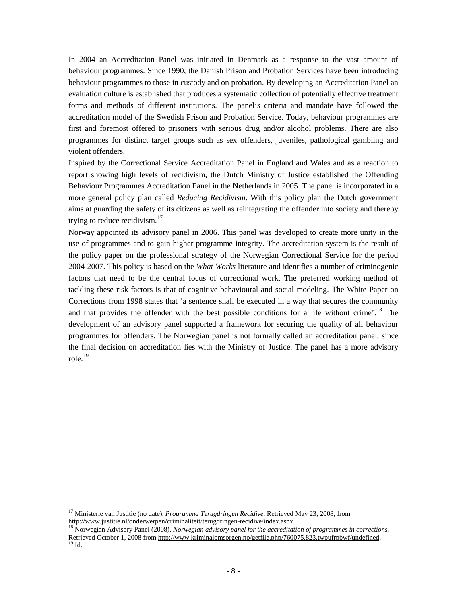In 2004 an Accreditation Panel was initiated in Denmark as a response to the vast amount of behaviour programmes. Since 1990, the Danish Prison and Probation Services have been introducing behaviour programmes to those in custody and on probation. By developing an Accreditation Panel an evaluation culture is established that produces a systematic collection of potentially effective treatment forms and methods of different institutions. The panel's criteria and mandate have followed the accreditation model of the Swedish Prison and Probation Service. Today, behaviour programmes are first and foremost offered to prisoners with serious drug and/or alcohol problems. There are also programmes for distinct target groups such as sex offenders, juveniles, pathological gambling and violent offenders.

Inspired by the Correctional Service Accreditation Panel in England and Wales and as a reaction to report showing high levels of recidivism, the Dutch Ministry of Justice established the Offending Behaviour Programmes Accreditation Panel in the Netherlands in 2005. The panel is incorporated in a more general policy plan called *Reducing Recidivism*. With this policy plan the Dutch government aims at guarding the safety of its citizens as well as reintegrating the offender into society and thereby trying to reduce recidivism.<sup>[17](#page-7-0)</sup>

Norway appointed its advisory panel in 2006. This panel was developed to create more unity in the use of programmes and to gain higher programme integrity. The accreditation system is the result of the policy paper on the professional strategy of the Norwegian Correctional Service for the period 2004-2007. This policy is based on the *What Works* literature and identifies a number of criminogenic factors that need to be the central focus of correctional work. The preferred working method of tackling these risk factors is that of cognitive behavioural and social modeling. The White Paper on Corrections from 1998 states that 'a sentence shall be executed in a way that secures the community and that provides the offender with the best possible conditions for a life without crime'.<sup>[18](#page-7-1)</sup> The development of an advisory panel supported a framework for securing the quality of all behaviour programmes for offenders. The Norwegian panel is not formally called an accreditation panel, since the final decision on accreditation lies with the Ministry of Justice. The panel has a more advisory role. [19](#page-7-2)

<span id="page-7-0"></span> <sup>17</sup> Ministerie van Justitie (no date). *Programma Terugdringen Recidive*. Retrieved May 23, 2008, from [http://www.justitie.nl/onderwerpen/criminaliteit/terugdringen-recidive/index.aspx.](http://www.justitie.nl/onderwerpen/criminaliteit/terugdringen-recidive/index.aspx)<br><sup>18</sup> Norwegian Advisory Panel (2008). *Norwegian advisory panel for the accreditation of programmes in corrections*.

<span id="page-7-2"></span><span id="page-7-1"></span>Retrieved October 1, 2008 fro[m http://www.kriminalomsorgen.no/getfile.php/760075.823.twpufrpbwf/undefined.](http://www.kriminalomsorgen.no/getfile.php/760075.823.twpufrpbwf/undefined) <sup>19</sup> Id.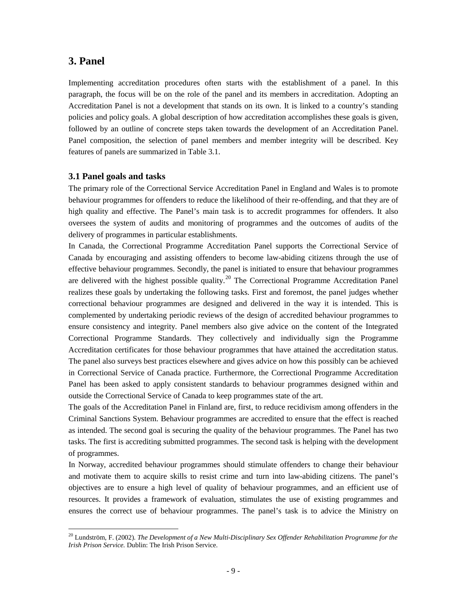# **3. Panel**

Implementing accreditation procedures often starts with the establishment of a panel. In this paragraph, the focus will be on the role of the panel and its members in accreditation. Adopting an Accreditation Panel is not a development that stands on its own. It is linked to a country's standing policies and policy goals. A global description of how accreditation accomplishes these goals is given, followed by an outline of concrete steps taken towards the development of an Accreditation Panel. Panel composition, the selection of panel members and member integrity will be described. Key features of panels are summarized in Table 3.1.

### **3.1 Panel goals and tasks**

The primary role of the Correctional Service Accreditation Panel in England and Wales is to promote behaviour programmes for offenders to reduce the likelihood of their re-offending, and that they are of high quality and effective. The Panel's main task is to accredit programmes for offenders. It also oversees the system of audits and monitoring of programmes and the outcomes of audits of the delivery of programmes in particular establishments.

In Canada, the Correctional Programme Accreditation Panel supports the Correctional Service of Canada by encouraging and assisting offenders to become law-abiding citizens through the use of effective behaviour programmes. Secondly, the panel is initiated to ensure that behaviour programmes are delivered with the highest possible quality.<sup>[20](#page-8-0)</sup> The Correctional Programme Accreditation Panel realizes these goals by undertaking the following tasks. First and foremost, the panel judges whether correctional behaviour programmes are designed and delivered in the way it is intended. This is complemented by undertaking periodic reviews of the design of accredited behaviour programmes to ensure consistency and integrity. Panel members also give advice on the content of the Integrated Correctional Programme Standards. They collectively and individually sign the Programme Accreditation certificates for those behaviour programmes that have attained the accreditation status. The panel also surveys best practices elsewhere and gives advice on how this possibly can be achieved in Correctional Service of Canada practice. Furthermore, the Correctional Programme Accreditation Panel has been asked to apply consistent standards to behaviour programmes designed within and outside the Correctional Service of Canada to keep programmes state of the art.

The goals of the Accreditation Panel in Finland are, first, to reduce recidivism among offenders in the Criminal Sanctions System. Behaviour programmes are accredited to ensure that the effect is reached as intended. The second goal is securing the quality of the behaviour programmes. The Panel has two tasks. The first is accrediting submitted programmes. The second task is helping with the development of programmes.

In Norway, accredited behaviour programmes should stimulate offenders to change their behaviour and motivate them to acquire skills to resist crime and turn into law-abiding citizens. The panel's objectives are to ensure a high level of quality of behaviour programmes, and an efficient use of resources. It provides a framework of evaluation, stimulates the use of existing programmes and ensures the correct use of behaviour programmes. The panel's task is to advice the Ministry on

<span id="page-8-0"></span> <sup>20</sup> Lundström, F. (2002). *The Development of a New Multi-Disciplinary Sex Offender Rehabilitation Programme for the Irish Prison Service.* Dublin: The Irish Prison Service.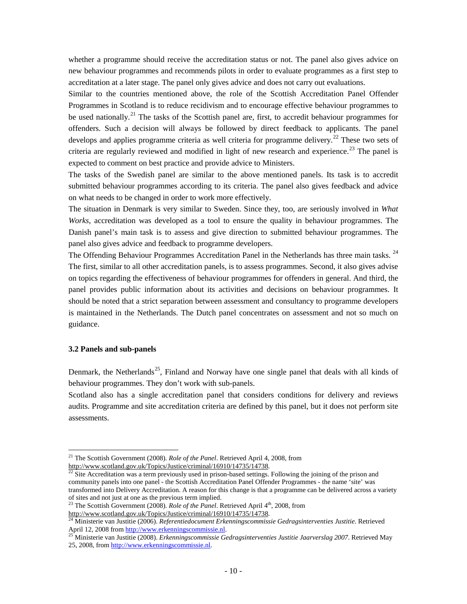whether a programme should receive the accreditation status or not. The panel also gives advice on new behaviour programmes and recommends pilots in order to evaluate programmes as a first step to accreditation at a later stage. The panel only gives advice and does not carry out evaluations.

Similar to the countries mentioned above, the role of the Scottish Accreditation Panel Offender Programmes in Scotland is to reduce recidivism and to encourage effective behaviour programmes to be used nationally.<sup>[21](#page-9-0)</sup> The tasks of the Scottish panel are, first, to accredit behaviour programmes for offenders. Such a decision will always be followed by direct feedback to applicants. The panel develops and applies programme criteria as well criteria for programme delivery.<sup>[22](#page-9-1)</sup> These two sets of criteria are regularly reviewed and modified in light of new research and experience.<sup>[23](#page-9-2)</sup> The panel is expected to comment on best practice and provide advice to Ministers.

The tasks of the Swedish panel are similar to the above mentioned panels. Its task is to accredit submitted behaviour programmes according to its criteria. The panel also gives feedback and advice on what needs to be changed in order to work more effectively.

The situation in Denmark is very similar to Sweden. Since they, too, are seriously involved in *What Works*, accreditation was developed as a tool to ensure the quality in behaviour programmes. The Danish panel's main task is to assess and give direction to submitted behaviour programmes. The panel also gives advice and feedback to programme developers.

The Offending Behaviour Programmes Accreditation Panel in the Netherlands has three main tasks.<sup>[24](#page-9-3)</sup> The first, similar to all other accreditation panels, is to assess programmes. Second, it also gives advise on topics regarding the effectiveness of behaviour programmes for offenders in general. And third, the panel provides public information about its activities and decisions on behaviour programmes. It should be noted that a strict separation between assessment and consultancy to programme developers is maintained in the Netherlands. The Dutch panel concentrates on assessment and not so much on guidance.

### **3.2 Panels and sub-panels**

Denmark, the Netherlands<sup>[25](#page-9-4)</sup>, Finland and Norway have one single panel that deals with all kinds of behaviour programmes. They don't work with sub-panels.

Scotland also has a single accreditation panel that considers conditions for delivery and reviews audits. Programme and site accreditation criteria are defined by this panel, but it does not perform site assessments.

<span id="page-9-0"></span><sup>&</sup>lt;sup>21</sup> The Scottish Government (2008). *Role of the Panel*. Retrieved April 4, 2008, from http://www.scotland.gov.uk/Topics/Justice/criminal/16910/14735/14738.

<span id="page-9-1"></span> $\frac{22}{22}$  Site Accreditation was a term previously used in prison-based settings. Following the joining of the prison and community panels into one panel - the Scottish Accreditation Panel Offender Programmes - the name 'site' was transformed into Delivery Accreditation. A reason for this change is that a programme can be delivered across a variety

<span id="page-9-2"></span><sup>&</sup>lt;sup>23</sup> The Scottish Government (2008). *Role of the Panel*. Retrieved April 4<sup>th</sup>, 2008, from http://www.scotland.gov.uk/Topics/Justice/criminal/16910/14735/14738.

<span id="page-9-3"></span><sup>&</sup>lt;sup>24</sup> Ministerie van Justitie (2006). *Referentiedocument Erkenningscommissie Gedragsinterventies Justitie*. Retrieved<br>April 12, 2008 from <u>http://www.erkenningscommissie.nl</u>.

<span id="page-9-4"></span><sup>&</sup>lt;sup>25</sup> Ministerie van Justitie (2008). *Erkenningscommissie Gedragsinterventies Justitie Jaarverslag 2007*. Retrieved May 25, 2008, fro[m http://www.erkenningscommissie.nl.](http://www.erkenningscommissie.nl/)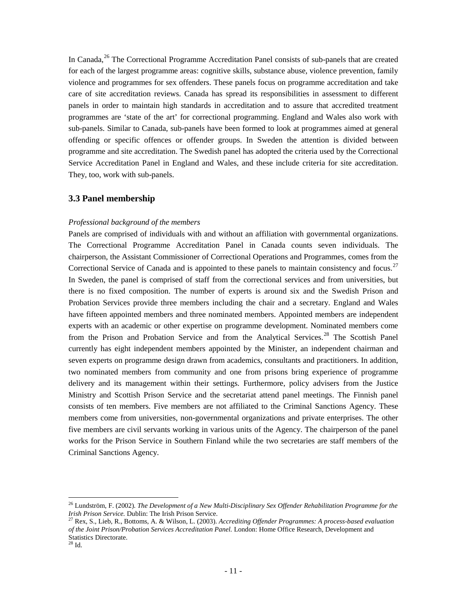In Canada,<sup>[26](#page-10-0)</sup> The Correctional Programme Accreditation Panel consists of sub-panels that are created for each of the largest programme areas: cognitive skills, substance abuse, violence prevention, family violence and programmes for sex offenders. These panels focus on programme accreditation and take care of site accreditation reviews. Canada has spread its responsibilities in assessment to different panels in order to maintain high standards in accreditation and to assure that accredited treatment programmes are 'state of the art' for correctional programming. England and Wales also work with sub-panels. Similar to Canada, sub-panels have been formed to look at programmes aimed at general offending or specific offences or offender groups. In Sweden the attention is divided between programme and site accreditation. The Swedish panel has adopted the criteria used by the Correctional Service Accreditation Panel in England and Wales, and these include criteria for site accreditation. They, too, work with sub-panels.

### **3.3 Panel membership**

### *Professional background of the members*

Panels are comprised of individuals with and without an affiliation with governmental organizations. The Correctional Programme Accreditation Panel in Canada counts seven individuals. The chairperson, the Assistant Commissioner of Correctional Operations and Programmes, comes from the Correctional Service of Canada and is appointed to these panels to maintain consistency and focus.<sup>[27](#page-10-1)</sup> In Sweden, the panel is comprised of staff from the correctional services and from universities, but there is no fixed composition. The number of experts is around six and the Swedish Prison and Probation Services provide three members including the chair and a secretary. England and Wales have fifteen appointed members and three nominated members. Appointed members are independent experts with an academic or other expertise on programme development. Nominated members come from the Prison and Probation Service and from the Analytical Services.<sup>[28](#page-10-2)</sup> The Scottish Panel currently has eight independent members appointed by the Minister, an independent chairman and seven experts on programme design drawn from academics, consultants and practitioners. In addition, two nominated members from community and one from prisons bring experience of programme delivery and its management within their settings. Furthermore, policy advisers from the Justice Ministry and Scottish Prison Service and the secretariat attend panel meetings. The Finnish panel consists of ten members. Five members are not affiliated to the Criminal Sanctions Agency. These members come from universities, non-governmental organizations and private enterprises. The other five members are civil servants working in various units of the Agency. The chairperson of the panel works for the Prison Service in Southern Finland while the two secretaries are staff members of the Criminal Sanctions Agency.

<span id="page-10-0"></span> <sup>26</sup> Lundström, F. (2002). *The Development of a New Multi-Disciplinary Sex Offender Rehabilitation Programme for the Irish Prison Service.* Dublin: The Irish Prison Service.

<span id="page-10-2"></span><span id="page-10-1"></span><sup>27</sup> Rex, S., Lieb, R., Bottoms, A. & Wilson, L. (2003). *Accrediting Offender Programmes: A process-based evaluation of the Joint Prison/Probation Services Accreditation Panel.* London: Home Office Research, Development and Statistics Directorate.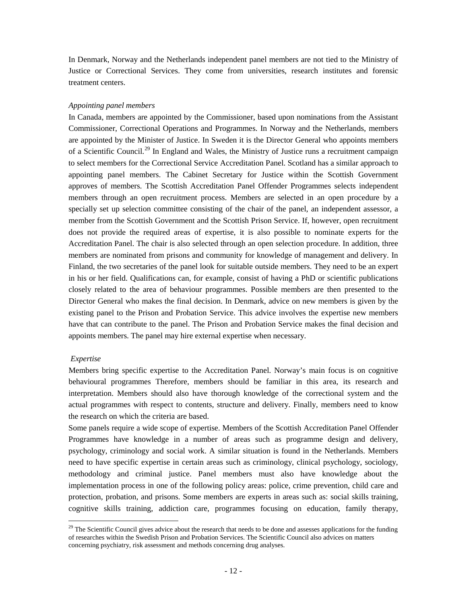In Denmark, Norway and the Netherlands independent panel members are not tied to the Ministry of Justice or Correctional Services. They come from universities, research institutes and forensic treatment centers.

### *Appointing panel members*

In Canada, members are appointed by the Commissioner, based upon nominations from the Assistant Commissioner, Correctional Operations and Programmes. In Norway and the Netherlands, members are appointed by the Minister of Justice. In Sweden it is the Director General who appoints members of a Scientific Council.<sup>[29](#page-11-0)</sup> In England and Wales, the Ministry of Justice runs a recruitment campaign to select members for the Correctional Service Accreditation Panel. Scotland has a similar approach to appointing panel members. The Cabinet Secretary for Justice within the Scottish Government approves of members. The Scottish Accreditation Panel Offender Programmes selects independent members through an open recruitment process. Members are selected in an open procedure by a specially set up selection committee consisting of the chair of the panel, an independent assessor, a member from the Scottish Government and the Scottish Prison Service. If, however, open recruitment does not provide the required areas of expertise, it is also possible to nominate experts for the Accreditation Panel. The chair is also selected through an open selection procedure. In addition, three members are nominated from prisons and community for knowledge of management and delivery. In Finland, the two secretaries of the panel look for suitable outside members. They need to be an expert in his or her field. Qualifications can, for example, consist of having a PhD or scientific publications closely related to the area of behaviour programmes. Possible members are then presented to the Director General who makes the final decision. In Denmark, advice on new members is given by the existing panel to the Prison and Probation Service. This advice involves the expertise new members have that can contribute to the panel. The Prison and Probation Service makes the final decision and appoints members. The panel may hire external expertise when necessary.

### *Expertise*

Members bring specific expertise to the Accreditation Panel. Norway's main focus is on cognitive behavioural programmes Therefore, members should be familiar in this area, its research and interpretation. Members should also have thorough knowledge of the correctional system and the actual programmes with respect to contents, structure and delivery. Finally, members need to know the research on which the criteria are based.

Some panels require a wide scope of expertise. Members of the Scottish Accreditation Panel Offender Programmes have knowledge in a number of areas such as programme design and delivery, psychology, criminology and social work. A similar situation is found in the Netherlands. Members need to have specific expertise in certain areas such as criminology, clinical psychology, sociology, methodology and criminal justice. Panel members must also have knowledge about the implementation process in one of the following policy areas: police, crime prevention, child care and protection, probation, and prisons. Some members are experts in areas such as: social skills training, cognitive skills training, addiction care, programmes focusing on education, family therapy,

<span id="page-11-0"></span> $29$  The Scientific Council gives advice about the research that needs to be done and assesses applications for the funding of researches within the Swedish Prison and Probation Services. The Scientific Council also advices on matters concerning psychiatry, risk assessment and methods concerning drug analyses.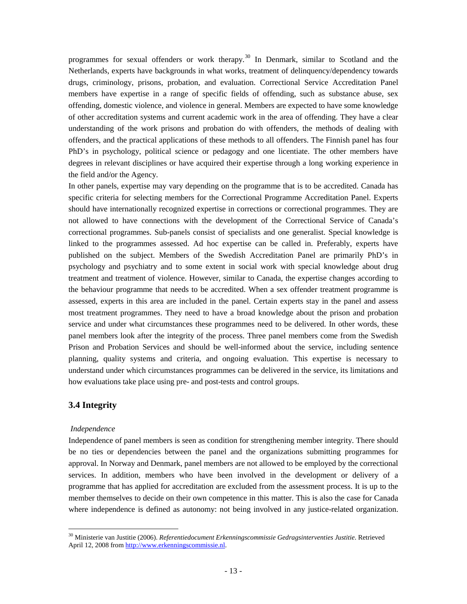programmes for sexual offenders or work therapy.<sup>[30](#page-12-0)</sup> In Denmark, similar to Scotland and the Netherlands, experts have backgrounds in what works, treatment of delinquency/dependency towards drugs, criminology, prisons, probation, and evaluation. Correctional Service Accreditation Panel members have expertise in a range of specific fields of offending, such as substance abuse, sex offending, domestic violence, and violence in general. Members are expected to have some knowledge of other accreditation systems and current academic work in the area of offending. They have a clear understanding of the work prisons and probation do with offenders, the methods of dealing with offenders, and the practical applications of these methods to all offenders. The Finnish panel has four PhD's in psychology, political science or pedagogy and one licentiate. The other members have degrees in relevant disciplines or have acquired their expertise through a long working experience in the field and/or the Agency.

In other panels, expertise may vary depending on the programme that is to be accredited. Canada has specific criteria for selecting members for the Correctional Programme Accreditation Panel. Experts should have internationally recognized expertise in corrections or correctional programmes. They are not allowed to have connections with the development of the Correctional Service of Canada's correctional programmes. Sub-panels consist of specialists and one generalist. Special knowledge is linked to the programmes assessed. Ad hoc expertise can be called in. Preferably, experts have published on the subject. Members of the Swedish Accreditation Panel are primarily PhD's in psychology and psychiatry and to some extent in social work with special knowledge about drug treatment and treatment of violence. However, similar to Canada, the expertise changes according to the behaviour programme that needs to be accredited. When a sex offender treatment programme is assessed, experts in this area are included in the panel. Certain experts stay in the panel and assess most treatment programmes. They need to have a broad knowledge about the prison and probation service and under what circumstances these programmes need to be delivered. In other words, these panel members look after the integrity of the process. Three panel members come from the Swedish Prison and Probation Services and should be well-informed about the service, including sentence planning, quality systems and criteria, and ongoing evaluation. This expertise is necessary to understand under which circumstances programmes can be delivered in the service, its limitations and how evaluations take place using pre- and post-tests and control groups.

# **3.4 Integrity**

### *Independence*

Independence of panel members is seen as condition for strengthening member integrity. There should be no ties or dependencies between the panel and the organizations submitting programmes for approval. In Norway and Denmark, panel members are not allowed to be employed by the correctional services. In addition, members who have been involved in the development or delivery of a programme that has applied for accreditation are excluded from the assessment process. It is up to the member themselves to decide on their own competence in this matter. This is also the case for Canada where independence is defined as autonomy: not being involved in any justice-related organization.

<span id="page-12-0"></span> <sup>30</sup> Ministerie van Justitie (2006). *Referentiedocument Erkenningscommissie Gedragsinterventies Justitie*. Retrieved April 12, 2008 fro[m http://www.erkenningscommissie.nl.](http://www.erkenningscommissie.nl/)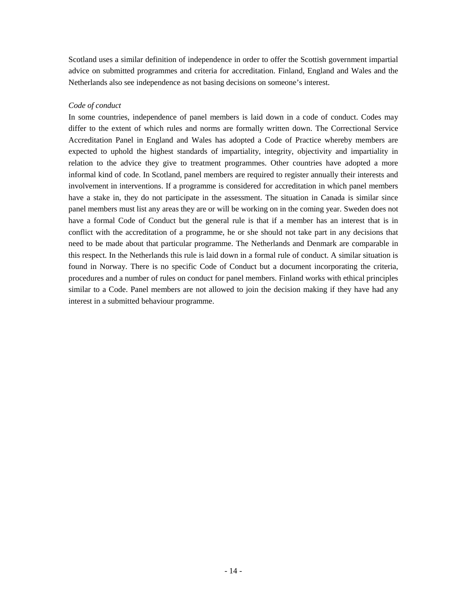Scotland uses a similar definition of independence in order to offer the Scottish government impartial advice on submitted programmes and criteria for accreditation. Finland, England and Wales and the Netherlands also see independence as not basing decisions on someone's interest.

### *Code of conduct*

In some countries, independence of panel members is laid down in a code of conduct. Codes may differ to the extent of which rules and norms are formally written down. The Correctional Service Accreditation Panel in England and Wales has adopted a Code of Practice whereby members are expected to uphold the highest standards of impartiality, integrity, objectivity and impartiality in relation to the advice they give to treatment programmes. Other countries have adopted a more informal kind of code. In Scotland, panel members are required to register annually their interests and involvement in interventions. If a programme is considered for accreditation in which panel members have a stake in, they do not participate in the assessment. The situation in Canada is similar since panel members must list any areas they are or will be working on in the coming year. Sweden does not have a formal Code of Conduct but the general rule is that if a member has an interest that is in conflict with the accreditation of a programme, he or she should not take part in any decisions that need to be made about that particular programme. The Netherlands and Denmark are comparable in this respect. In the Netherlands this rule is laid down in a formal rule of conduct. A similar situation is found in Norway. There is no specific Code of Conduct but a document incorporating the criteria, procedures and a number of rules on conduct for panel members. Finland works with ethical principles similar to a Code. Panel members are not allowed to join the decision making if they have had any interest in a submitted behaviour programme.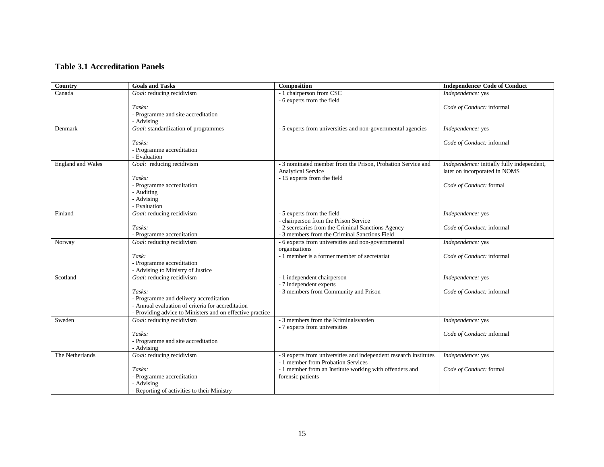## **Table 3.1 Accreditation Panels**

| Country                  | <b>Goals and Tasks</b>                                         | Composition                                                       | <b>Independence/ Code of Conduct</b>       |
|--------------------------|----------------------------------------------------------------|-------------------------------------------------------------------|--------------------------------------------|
| Canada                   | Goal: reducing recidivism                                      | - 1 chairperson from CSC                                          | Independence: yes                          |
|                          |                                                                | - 6 experts from the field                                        |                                            |
|                          | Tasks:                                                         |                                                                   | Code of Conduct: informal                  |
|                          | - Programme and site accreditation                             |                                                                   |                                            |
| Denmark                  | - Advising<br>Goal: standardization of programmes              | - 5 experts from universities and non-governmental agencies       | Independence: yes                          |
|                          |                                                                |                                                                   |                                            |
|                          | Tasks:                                                         |                                                                   | Code of Conduct: informal                  |
|                          | - Programme accreditation                                      |                                                                   |                                            |
|                          | - Evaluation                                                   |                                                                   |                                            |
| <b>England</b> and Wales | Goal: reducing recidivism                                      | - 3 nominated member from the Prison, Probation Service and       | Independence: initially fully independent, |
|                          |                                                                | <b>Analytical Service</b>                                         | later on incorporated in NOMS              |
|                          | Tasks:                                                         | - 15 experts from the field                                       |                                            |
|                          | - Programme accreditation                                      |                                                                   | Code of Conduct: formal                    |
|                          | - Auditing<br>- Advising                                       |                                                                   |                                            |
|                          | - Evaluation                                                   |                                                                   |                                            |
| Finland                  | Goal: reducing recidivism                                      | - 5 experts from the field                                        | Independence: yes                          |
|                          |                                                                | - chairperson from the Prison Service                             |                                            |
|                          | Tasks:                                                         | - 2 secretaries from the Criminal Sanctions Agency                | Code of Conduct: informal                  |
|                          | - Programme accreditation                                      | - 3 members from the Criminal Sanctions Field                     |                                            |
| Norway                   | Goal: reducing recidivism                                      | - 6 experts from universities and non-governmental                | Independence: yes                          |
|                          |                                                                | organizations                                                     |                                            |
|                          | Task:                                                          | - 1 member is a former member of secretariat                      | Code of Conduct: informal                  |
|                          | - Programme accreditation                                      |                                                                   |                                            |
| Scotland                 | - Advising to Ministry of Justice<br>Goal: reducing recidivism | - 1 independent chairperson                                       | Independence: yes                          |
|                          |                                                                | - 7 independent experts                                           |                                            |
|                          | Tasks:                                                         | - 3 members from Community and Prison                             | Code of Conduct: informal                  |
|                          | - Programme and delivery accreditation                         |                                                                   |                                            |
|                          | - Annual evaluation of criteria for accreditation              |                                                                   |                                            |
|                          | - Providing advice to Ministers and on effective practice      |                                                                   |                                            |
| Sweden                   | Goal: reducing recidivism                                      | - 3 members from the Kriminalsvarden                              | Independence: yes                          |
|                          |                                                                | - 7 experts from universities                                     |                                            |
|                          | Tasks:                                                         |                                                                   | Code of Conduct: informal                  |
|                          | - Programme and site accreditation                             |                                                                   |                                            |
| The Netherlands          | - Advising<br>Goal: reducing recidivism                        | - 9 experts from universities and independent research institutes | Independence: yes                          |
|                          |                                                                | - 1 member from Probation Services                                |                                            |
|                          | Tasks:                                                         | - 1 member from an Institute working with offenders and           | Code of Conduct: formal                    |
|                          | - Programme accreditation                                      | forensic patients                                                 |                                            |
|                          | - Advising                                                     |                                                                   |                                            |
|                          | - Reporting of activities to their Ministry                    |                                                                   |                                            |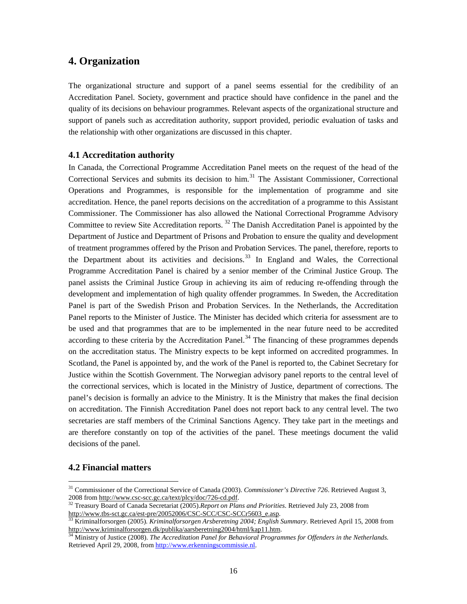# **4. Organization**

The organizational structure and support of a panel seems essential for the credibility of an Accreditation Panel. Society, government and practice should have confidence in the panel and the quality of its decisions on behaviour programmes. Relevant aspects of the organizational structure and support of panels such as accreditation authority, support provided, periodic evaluation of tasks and the relationship with other organizations are discussed in this chapter.

### **4.1 Accreditation authority**

In Canada, the Correctional Programme Accreditation Panel meets on the request of the head of the Correctional Services and submits its decision to him.<sup>[31](#page-15-0)</sup> The Assistant Commissioner, Correctional Operations and Programmes, is responsible for the implementation of programme and site accreditation. Hence, the panel reports decisions on the accreditation of a programme to this Assistant Commissioner. The Commissioner has also allowed the National Correctional Programme Advisory Committee to review Site Accreditation reports.  $32$  The Danish Accreditation Panel is appointed by the Department of Justice and Department of Prisons and Probation to ensure the quality and development of treatment programmes offered by the Prison and Probation Services. The panel, therefore, reports to the Department about its activities and decisions.<sup>[33](#page-15-2)</sup> In England and Wales, the Correctional Programme Accreditation Panel is chaired by a senior member of the Criminal Justice Group. The panel assists the Criminal Justice Group in achieving its aim of reducing re-offending through the development and implementation of high quality offender programmes. In Sweden, the Accreditation Panel is part of the Swedish Prison and Probation Services. In the Netherlands, the Accreditation Panel reports to the Minister of Justice. The Minister has decided which criteria for assessment are to be used and that programmes that are to be implemented in the near future need to be accredited according to these criteria by the Accreditation Panel.<sup>[34](#page-15-3)</sup> The financing of these programmes depends on the accreditation status. The Ministry expects to be kept informed on accredited programmes. In Scotland, the Panel is appointed by, and the work of the Panel is reported to, the Cabinet Secretary for Justice within the Scottish Government. The Norwegian advisory panel reports to the central level of the correctional services, which is located in the Ministry of Justice, department of corrections. The panel's decision is formally an advice to the Ministry. It is the Ministry that makes the final decision on accreditation. The Finnish Accreditation Panel does not report back to any central level. The two secretaries are staff members of the Criminal Sanctions Agency. They take part in the meetings and are therefore constantly on top of the activities of the panel. These meetings document the valid decisions of the panel.

# **4.2 Financial matters**

<span id="page-15-0"></span><sup>&</sup>lt;sup>31</sup> Commissioner of the Correctional Service of Canada (2003). *Commissioner's Directive 726*. Retrieved August 3, 2008 from http://www.csc-scc.gc.ca/text/plcy/doc/726-cd.pdf.

<span id="page-15-1"></span><sup>&</sup>lt;sup>32</sup> Treasury Board of Canada Secretariat (2005).*Report on Plans and Priorities*. Retrieved July 23, 2008 from<br>http://www.tbs-sct.gc.ca/est-pre/20052006/CSC-SCC/CSC-SCCr5603 e.asp.

<span id="page-15-2"></span><sup>&</sup>lt;sup>[33](http://www.tbs-sct.gc.ca/est-pre/20052006/CSC-SCC/CSC-SCCr5603_e.asp)</sup> Kriminalforsorgen (2005). *Kriminalforsorgen Arsberetning 2004; English Summary*. Retrieved April 15, 2008 from<br>http://www.kriminalforsorgen.dk/publika/aarsberetning2004/html/kap11.htm.

<span id="page-15-3"></span><sup>&</sup>lt;sup>34</sup> Ministry of Justice (2008). *The Accreditation Panel for Behavioral Programmes for Offenders in the Netherlands.* Retrieved April 29, 2008, from [http://www.erkenningscommissie.nl.](http://www.erkenningscommissie.nl/)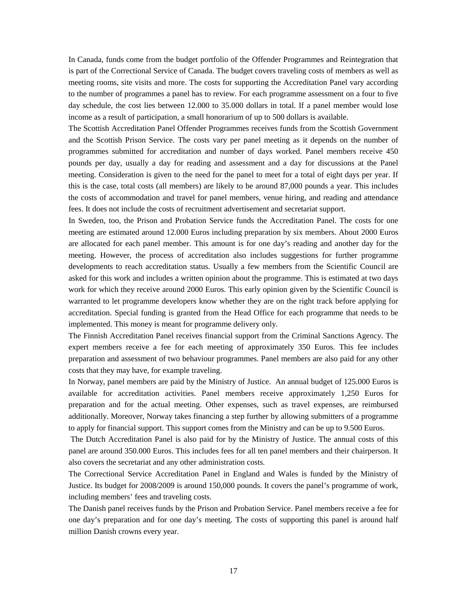In Canada, funds come from the budget portfolio of the Offender Programmes and Reintegration that is part of the Correctional Service of Canada. The budget covers traveling costs of members as well as meeting rooms, site visits and more. The costs for supporting the Accreditation Panel vary according to the number of programmes a panel has to review. For each programme assessment on a four to five day schedule, the cost lies between 12.000 to 35.000 dollars in total. If a panel member would lose income as a result of participation, a small honorarium of up to 500 dollars is available.

The Scottish Accreditation Panel Offender Programmes receives funds from the Scottish Government and the Scottish Prison Service. The costs vary per panel meeting as it depends on the number of programmes submitted for accreditation and number of days worked. Panel members receive 450 pounds per day, usually a day for reading and assessment and a day for discussions at the Panel meeting. Consideration is given to the need for the panel to meet for a total of eight days per year. If this is the case, total costs (all members) are likely to be around 87,000 pounds a year. This includes the costs of accommodation and travel for panel members, venue hiring, and reading and attendance fees. It does not include the costs of recruitment advertisement and secretariat support.

In Sweden, too, the Prison and Probation Service funds the Accreditation Panel. The costs for one meeting are estimated around 12.000 Euros including preparation by six members. About 2000 Euros are allocated for each panel member. This amount is for one day's reading and another day for the meeting. However, the process of accreditation also includes suggestions for further programme developments to reach accreditation status. Usually a few members from the Scientific Council are asked for this work and includes a written opinion about the programme. This is estimated at two days work for which they receive around 2000 Euros. This early opinion given by the Scientific Council is warranted to let programme developers know whether they are on the right track before applying for accreditation. Special funding is granted from the Head Office for each programme that needs to be implemented. This money is meant for programme delivery only.

The Finnish Accreditation Panel receives financial support from the Criminal Sanctions Agency. The expert members receive a fee for each meeting of approximately 350 Euros. This fee includes preparation and assessment of two behaviour programmes. Panel members are also paid for any other costs that they may have, for example traveling.

In Norway, panel members are paid by the Ministry of Justice. An annual budget of 125.000 Euros is available for accreditation activities. Panel members receive approximately 1,250 Euros for preparation and for the actual meeting. Other expenses, such as travel expenses, are reimbursed additionally. Moreover, Norway takes financing a step further by allowing submitters of a programme to apply for financial support. This support comes from the Ministry and can be up to 9.500 Euros.

The Dutch Accreditation Panel is also paid for by the Ministry of Justice. The annual costs of this panel are around 350.000 Euros. This includes fees for all ten panel members and their chairperson. It also covers the secretariat and any other administration costs.

The Correctional Service Accreditation Panel in England and Wales is funded by the Ministry of Justice. Its budget for 2008/2009 is around 150,000 pounds. It covers the panel's programme of work, including members' fees and traveling costs.

The Danish panel receives funds by the Prison and Probation Service. Panel members receive a fee for one day's preparation and for one day's meeting. The costs of supporting this panel is around half million Danish crowns every year.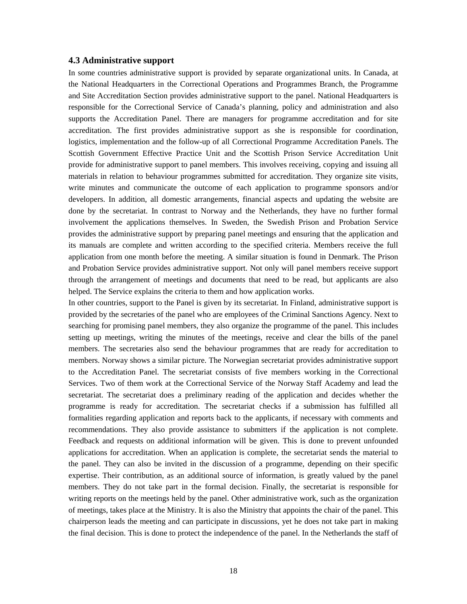#### **4.3 Administrative support**

In some countries administrative support is provided by separate organizational units. In Canada, at the National Headquarters in the Correctional Operations and Programmes Branch, the Programme and Site Accreditation Section provides administrative support to the panel. National Headquarters is responsible for the Correctional Service of Canada's planning, policy and administration and also supports the Accreditation Panel. There are managers for programme accreditation and for site accreditation. The first provides administrative support as she is responsible for coordination, logistics, implementation and the follow-up of all Correctional Programme Accreditation Panels. The Scottish Government Effective Practice Unit and the Scottish Prison Service Accreditation Unit provide for administrative support to panel members. This involves receiving, copying and issuing all materials in relation to behaviour programmes submitted for accreditation. They organize site visits, write minutes and communicate the outcome of each application to programme sponsors and/or developers. In addition, all domestic arrangements, financial aspects and updating the website are done by the secretariat. In contrast to Norway and the Netherlands, they have no further formal involvement the applications themselves. In Sweden, the Swedish Prison and Probation Service provides the administrative support by preparing panel meetings and ensuring that the application and its manuals are complete and written according to the specified criteria. Members receive the full application from one month before the meeting. A similar situation is found in Denmark. The Prison and Probation Service provides administrative support. Not only will panel members receive support through the arrangement of meetings and documents that need to be read, but applicants are also helped. The Service explains the criteria to them and how application works.

In other countries, support to the Panel is given by its secretariat. In Finland, administrative support is provided by the secretaries of the panel who are employees of the Criminal Sanctions Agency. Next to searching for promising panel members, they also organize the programme of the panel. This includes setting up meetings, writing the minutes of the meetings, receive and clear the bills of the panel members. The secretaries also send the behaviour programmes that are ready for accreditation to members. Norway shows a similar picture. The Norwegian secretariat provides administrative support to the Accreditation Panel. The secretariat consists of five members working in the Correctional Services. Two of them work at the Correctional Service of the Norway Staff Academy and lead the secretariat. The secretariat does a preliminary reading of the application and decides whether the programme is ready for accreditation. The secretariat checks if a submission has fulfilled all formalities regarding application and reports back to the applicants, if necessary with comments and recommendations. They also provide assistance to submitters if the application is not complete. Feedback and requests on additional information will be given. This is done to prevent unfounded applications for accreditation. When an application is complete, the secretariat sends the material to the panel. They can also be invited in the discussion of a programme, depending on their specific expertise. Their contribution, as an additional source of information, is greatly valued by the panel members. They do not take part in the formal decision. Finally, the secretariat is responsible for writing reports on the meetings held by the panel. Other administrative work, such as the organization of meetings, takes place at the Ministry. It is also the Ministry that appoints the chair of the panel. This chairperson leads the meeting and can participate in discussions, yet he does not take part in making the final decision. This is done to protect the independence of the panel. In the Netherlands the staff of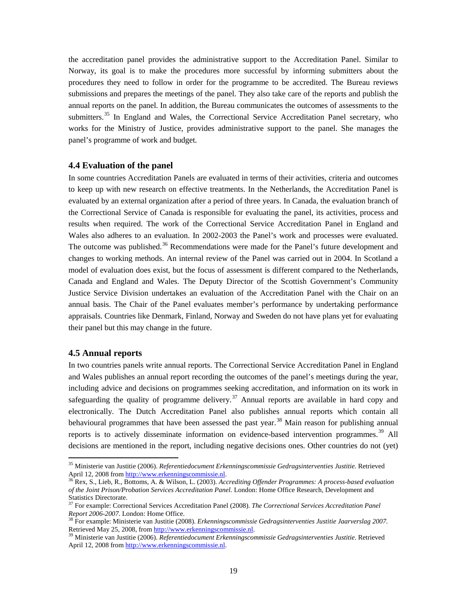the accreditation panel provides the administrative support to the Accreditation Panel. Similar to Norway, its goal is to make the procedures more successful by informing submitters about the procedures they need to follow in order for the programme to be accredited. The Bureau reviews submissions and prepares the meetings of the panel. They also take care of the reports and publish the annual reports on the panel. In addition, the Bureau communicates the outcomes of assessments to the submitters.<sup>[35](#page-18-0)</sup> In England and Wales, the Correctional Service Accreditation Panel secretary, who works for the Ministry of Justice, provides administrative support to the panel. She manages the panel's programme of work and budget.

### **4.4 Evaluation of the panel**

In some countries Accreditation Panels are evaluated in terms of their activities, criteria and outcomes to keep up with new research on effective treatments. In the Netherlands, the Accreditation Panel is evaluated by an external organization after a period of three years. In Canada, the evaluation branch of the Correctional Service of Canada is responsible for evaluating the panel, its activities, process and results when required. The work of the Correctional Service Accreditation Panel in England and Wales also adheres to an evaluation. In 2002-2003 the Panel's work and processes were evaluated. The outcome was published.<sup>[36](#page-18-1)</sup> Recommendations were made for the Panel's future development and changes to working methods. An internal review of the Panel was carried out in 2004. In Scotland a model of evaluation does exist, but the focus of assessment is different compared to the Netherlands, Canada and England and Wales. The Deputy Director of the Scottish Government's Community Justice Service Division undertakes an evaluation of the Accreditation Panel with the Chair on an annual basis. The Chair of the Panel evaluates member's performance by undertaking performance appraisals. Countries like Denmark, Finland, Norway and Sweden do not have plans yet for evaluating their panel but this may change in the future.

### **4.5 Annual reports**

In two countries panels write annual reports. The Correctional Service Accreditation Panel in England and Wales publishes an annual report recording the outcomes of the panel's meetings during the year, including advice and decisions on programmes seeking accreditation, and information on its work in safeguarding the quality of programme delivery.<sup>[37](#page-18-2)</sup> Annual reports are available in hard copy and electronically. The Dutch Accreditation Panel also publishes annual reports which contain all behavioural programmes that have been assessed the past year.<sup>[38](#page-18-3)</sup> Main reason for publishing annual reports is to actively disseminate information on evidence-based intervention programmes.<sup>[39](#page-18-4)</sup> All decisions are mentioned in the report, including negative decisions ones. Other countries do not (yet)

<span id="page-18-0"></span> <sup>35</sup> Ministerie van Justitie (2006). *Referentiedocument Erkenningscommissie Gedragsinterventies Justitie*. Retrieved April 12, 2008 from http://www.erkenningscommissie.nl.

<span id="page-18-1"></span>http://www.erken.commission.commission.commission.commission.commission.commission.commission.commission.commis *of the Joint Prison/Probation Services Accreditation Panel.* London: Home Office Research, Development and Statistics Directorate.

<span id="page-18-2"></span><sup>37</sup> For example: Correctional Services Accreditation Panel (2008). *The Correctional Services Accreditation Panel* 

<span id="page-18-3"></span>*Report 2006-2007.* London: Home Office.<br><sup>38</sup> For example: Ministerie van Justitie (2008). *Erkenningscommissie Gedragsinterventies Justitie Jaarverslag 2007.*<br>Retrieved May 25, 2008, from http://www.erkenningscommissie.nl

<span id="page-18-4"></span><sup>&</sup>lt;sup>39</sup> Ministerie van Justitie (2006). *Referentiedocument Erkenningscommissie Gedragsinterventies Justitie*. Retrieved April 12, 2008 fro[m http://www.erkenningscommissie.nl.](http://www.erkenningscommissie.nl/)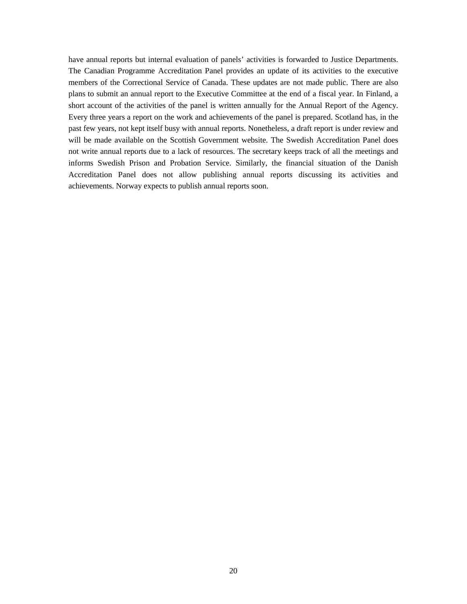have annual reports but internal evaluation of panels' activities is forwarded to Justice Departments. The Canadian Programme Accreditation Panel provides an update of its activities to the executive members of the Correctional Service of Canada. These updates are not made public. There are also plans to submit an annual report to the Executive Committee at the end of a fiscal year. In Finland, a short account of the activities of the panel is written annually for the Annual Report of the Agency. Every three years a report on the work and achievements of the panel is prepared. Scotland has, in the past few years, not kept itself busy with annual reports. Nonetheless, a draft report is under review and will be made available on the Scottish Government website. The Swedish Accreditation Panel does not write annual reports due to a lack of resources. The secretary keeps track of all the meetings and informs Swedish Prison and Probation Service. Similarly, the financial situation of the Danish Accreditation Panel does not allow publishing annual reports discussing its activities and achievements. Norway expects to publish annual reports soon.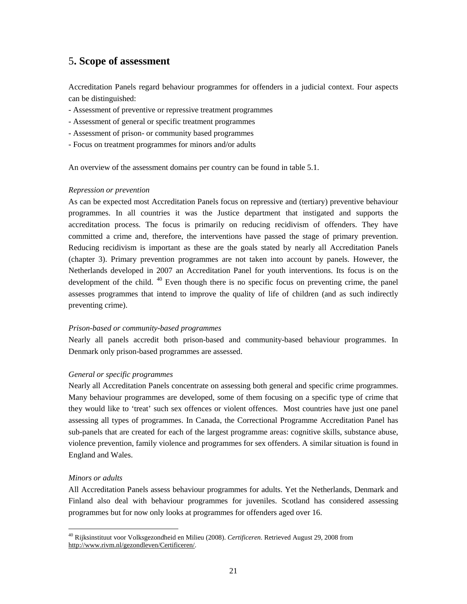# 5**. Scope of assessment**

Accreditation Panels regard behaviour programmes for offenders in a judicial context. Four aspects can be distinguished:

- Assessment of preventive or repressive treatment programmes
- Assessment of general or specific treatment programmes
- Assessment of prison- or community based programmes
- Focus on treatment programmes for minors and/or adults

An overview of the assessment domains per country can be found in table 5.1.

### *Repression or prevention*

As can be expected most Accreditation Panels focus on repressive and (tertiary) preventive behaviour programmes. In all countries it was the Justice department that instigated and supports the accreditation process. The focus is primarily on reducing recidivism of offenders. They have committed a crime and, therefore, the interventions have passed the stage of primary prevention. Reducing recidivism is important as these are the goals stated by nearly all Accreditation Panels (chapter 3). Primary prevention programmes are not taken into account by panels. However, the Netherlands developed in 2007 an Accreditation Panel for youth interventions. Its focus is on the development of the child.  $40$  Even though there is no specific focus on preventing crime, the panel assesses programmes that intend to improve the quality of life of children (and as such indirectly preventing crime).

### *Prison-based or community-based programmes*

Nearly all panels accredit both prison-based and community-based behaviour programmes. In Denmark only prison-based programmes are assessed.

### *General or specific programmes*

Nearly all Accreditation Panels concentrate on assessing both general and specific crime programmes. Many behaviour programmes are developed, some of them focusing on a specific type of crime that they would like to 'treat' such sex offences or violent offences. Most countries have just one panel assessing all types of programmes. In Canada, the Correctional Programme Accreditation Panel has sub-panels that are created for each of the largest programme areas: cognitive skills, substance abuse, violence prevention, family violence and programmes for sex offenders. A similar situation is found in England and Wales.

### *Minors or adults*

All Accreditation Panels assess behaviour programmes for adults. Yet the Netherlands, Denmark and Finland also deal with behaviour programmes for juveniles. Scotland has considered assessing programmes but for now only looks at programmes for offenders aged over 16.

<span id="page-20-0"></span> <sup>40</sup> Rijksinstituut voor Volksgezondheid en Milieu (2008). *Certificeren*. Retrieved August 29, 2008 from [http://www.rivm.nl/gezondleven/Certificeren/.](http://www.rivm.nl/gezondleven/Certificeren/)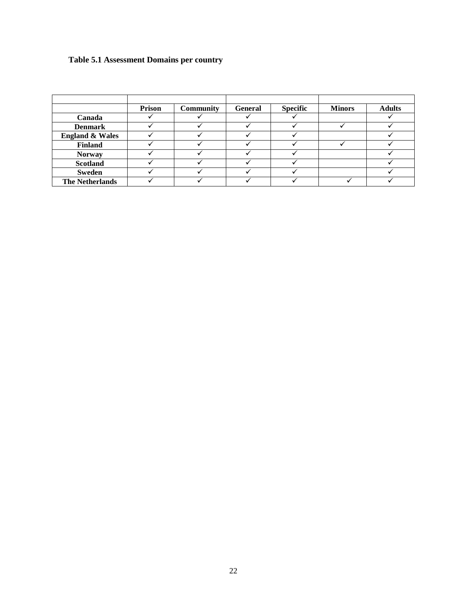# **Table 5.1 Assessment Domains per country**

|                            | Prison | <b>Community</b> | <b>General</b> | <b>Specific</b> | <b>Minors</b> | <b>Adults</b> |
|----------------------------|--------|------------------|----------------|-----------------|---------------|---------------|
| Canada                     |        |                  |                |                 |               |               |
| <b>Denmark</b>             |        |                  |                |                 |               |               |
| <b>England &amp; Wales</b> |        |                  |                |                 |               |               |
| <b>Finland</b>             |        |                  |                |                 |               |               |
| <b>Norway</b>              |        |                  |                |                 |               |               |
| <b>Scotland</b>            |        |                  |                |                 |               |               |
| Sweden                     |        |                  |                |                 |               |               |
| <b>The Netherlands</b>     |        |                  |                |                 |               |               |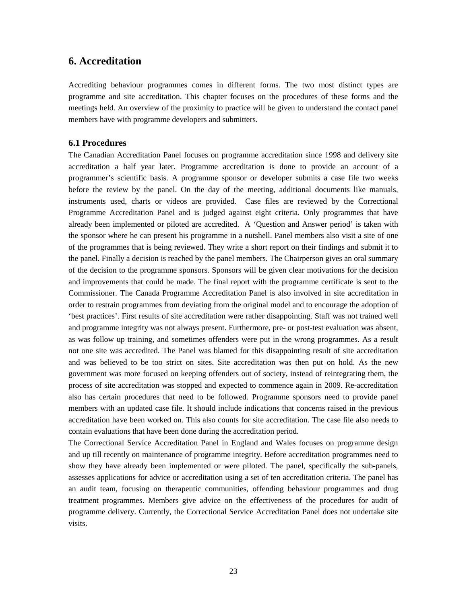# **6. Accreditation**

Accrediting behaviour programmes comes in different forms. The two most distinct types are programme and site accreditation. This chapter focuses on the procedures of these forms and the meetings held. An overview of the proximity to practice will be given to understand the contact panel members have with programme developers and submitters.

### **6.1 Procedures**

The Canadian Accreditation Panel focuses on programme accreditation since 1998 and delivery site accreditation a half year later. Programme accreditation is done to provide an account of a programmer's scientific basis. A programme sponsor or developer submits a case file two weeks before the review by the panel. On the day of the meeting, additional documents like manuals, instruments used, charts or videos are provided. Case files are reviewed by the Correctional Programme Accreditation Panel and is judged against eight criteria. Only programmes that have already been implemented or piloted are accredited. A 'Question and Answer period' is taken with the sponsor where he can present his programme in a nutshell. Panel members also visit a site of one of the programmes that is being reviewed. They write a short report on their findings and submit it to the panel. Finally a decision is reached by the panel members. The Chairperson gives an oral summary of the decision to the programme sponsors. Sponsors will be given clear motivations for the decision and improvements that could be made. The final report with the programme certificate is sent to the Commissioner. The Canada Programme Accreditation Panel is also involved in site accreditation in order to restrain programmes from deviating from the original model and to encourage the adoption of 'best practices'. First results of site accreditation were rather disappointing. Staff was not trained well and programme integrity was not always present. Furthermore, pre- or post-test evaluation was absent, as was follow up training, and sometimes offenders were put in the wrong programmes. As a result not one site was accredited. The Panel was blamed for this disappointing result of site accreditation and was believed to be too strict on sites. Site accreditation was then put on hold. As the new government was more focused on keeping offenders out of society, instead of reintegrating them, the process of site accreditation was stopped and expected to commence again in 2009. Re-accreditation also has certain procedures that need to be followed. Programme sponsors need to provide panel members with an updated case file. It should include indications that concerns raised in the previous accreditation have been worked on. This also counts for site accreditation. The case file also needs to contain evaluations that have been done during the accreditation period.

The Correctional Service Accreditation Panel in England and Wales focuses on programme design and up till recently on maintenance of programme integrity. Before accreditation programmes need to show they have already been implemented or were piloted. The panel, specifically the sub-panels, assesses applications for advice or accreditation using a set of ten accreditation criteria. The panel has an audit team, focusing on therapeutic communities, offending behaviour programmes and drug treatment programmes. Members give advice on the effectiveness of the procedures for audit of programme delivery. Currently, the Correctional Service Accreditation Panel does not undertake site visits.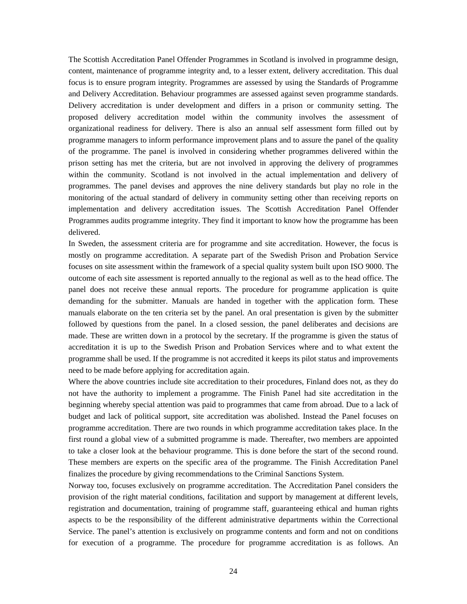The Scottish Accreditation Panel Offender Programmes in Scotland is involved in programme design, content, maintenance of programme integrity and, to a lesser extent, delivery accreditation. This dual focus is to ensure program integrity. Programmes are assessed by using the Standards of Programme and Delivery Accreditation. Behaviour programmes are assessed against seven programme standards. Delivery accreditation is under development and differs in a prison or community setting. The proposed delivery accreditation model within the community involves the assessment of organizational readiness for delivery. There is also an annual self assessment form filled out by programme managers to inform performance improvement plans and to assure the panel of the quality of the programme. The panel is involved in considering whether programmes delivered within the prison setting has met the criteria, but are not involved in approving the delivery of programmes within the community. Scotland is not involved in the actual implementation and delivery of programmes. The panel devises and approves the nine delivery standards but play no role in the monitoring of the actual standard of delivery in community setting other than receiving reports on implementation and delivery accreditation issues. The Scottish Accreditation Panel Offender Programmes audits programme integrity. They find it important to know how the programme has been delivered.

In Sweden, the assessment criteria are for programme and site accreditation. However, the focus is mostly on programme accreditation. A separate part of the Swedish Prison and Probation Service focuses on site assessment within the framework of a special quality system built upon ISO 9000. The outcome of each site assessment is reported annually to the regional as well as to the head office. The panel does not receive these annual reports. The procedure for programme application is quite demanding for the submitter. Manuals are handed in together with the application form. These manuals elaborate on the ten criteria set by the panel. An oral presentation is given by the submitter followed by questions from the panel. In a closed session, the panel deliberates and decisions are made. These are written down in a protocol by the secretary. If the programme is given the status of accreditation it is up to the Swedish Prison and Probation Services where and to what extent the programme shall be used. If the programme is not accredited it keeps its pilot status and improvements need to be made before applying for accreditation again.

Where the above countries include site accreditation to their procedures, Finland does not, as they do not have the authority to implement a programme. The Finish Panel had site accreditation in the beginning whereby special attention was paid to programmes that came from abroad. Due to a lack of budget and lack of political support, site accreditation was abolished. Instead the Panel focuses on programme accreditation. There are two rounds in which programme accreditation takes place. In the first round a global view of a submitted programme is made. Thereafter, two members are appointed to take a closer look at the behaviour programme. This is done before the start of the second round. These members are experts on the specific area of the programme. The Finish Accreditation Panel finalizes the procedure by giving recommendations to the Criminal Sanctions System.

Norway too, focuses exclusively on programme accreditation. The Accreditation Panel considers the provision of the right material conditions, facilitation and support by management at different levels, registration and documentation, training of programme staff, guaranteeing ethical and human rights aspects to be the responsibility of the different administrative departments within the Correctional Service. The panel's attention is exclusively on programme contents and form and not on conditions for execution of a programme. The procedure for programme accreditation is as follows. An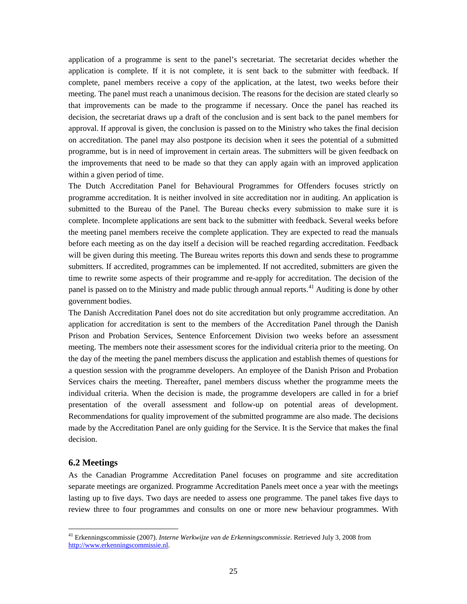application of a programme is sent to the panel's secretariat. The secretariat decides whether the application is complete. If it is not complete, it is sent back to the submitter with feedback. If complete, panel members receive a copy of the application, at the latest, two weeks before their meeting. The panel must reach a unanimous decision. The reasons for the decision are stated clearly so that improvements can be made to the programme if necessary. Once the panel has reached its decision, the secretariat draws up a draft of the conclusion and is sent back to the panel members for approval. If approval is given, the conclusion is passed on to the Ministry who takes the final decision on accreditation. The panel may also postpone its decision when it sees the potential of a submitted programme, but is in need of improvement in certain areas. The submitters will be given feedback on the improvements that need to be made so that they can apply again with an improved application within a given period of time.

The Dutch Accreditation Panel for Behavioural Programmes for Offenders focuses strictly on programme accreditation. It is neither involved in site accreditation nor in auditing. An application is submitted to the Bureau of the Panel. The Bureau checks every submission to make sure it is complete. Incomplete applications are sent back to the submitter with feedback. Several weeks before the meeting panel members receive the complete application. They are expected to read the manuals before each meeting as on the day itself a decision will be reached regarding accreditation. Feedback will be given during this meeting. The Bureau writes reports this down and sends these to programme submitters. If accredited, programmes can be implemented. If not accredited, submitters are given the time to rewrite some aspects of their programme and re-apply for accreditation. The decision of the panel is passed on to the Ministry and made public through annual reports.<sup>[41](#page-24-0)</sup> Auditing is done by other government bodies.

The Danish Accreditation Panel does not do site accreditation but only programme accreditation. An application for accreditation is sent to the members of the Accreditation Panel through the Danish Prison and Probation Services, Sentence Enforcement Division two weeks before an assessment meeting. The members note their assessment scores for the individual criteria prior to the meeting. On the day of the meeting the panel members discuss the application and establish themes of questions for a question session with the programme developers. An employee of the Danish Prison and Probation Services chairs the meeting. Thereafter, panel members discuss whether the programme meets the individual criteria. When the decision is made, the programme developers are called in for a brief presentation of the overall assessment and follow-up on potential areas of development. Recommendations for quality improvement of the submitted programme are also made. The decisions made by the Accreditation Panel are only guiding for the Service. It is the Service that makes the final decision.

### **6.2 Meetings**

As the Canadian Programme Accreditation Panel focuses on programme and site accreditation separate meetings are organized. Programme Accreditation Panels meet once a year with the meetings lasting up to five days. Two days are needed to assess one programme. The panel takes five days to review three to four programmes and consults on one or more new behaviour programmes. With

<span id="page-24-0"></span> <sup>41</sup> Erkenningscommissie (2007). *Interne Werkwijze van de Erkenningscommissie*. Retrieved July 3, 2008 from [http://www.erkenningscommissie.nl.](http://www.erkenningscommissie.nl/)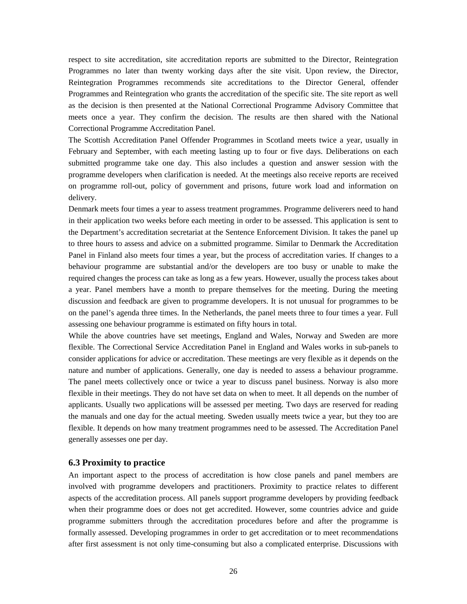respect to site accreditation, site accreditation reports are submitted to the Director, Reintegration Programmes no later than twenty working days after the site visit. Upon review, the Director, Reintegration Programmes recommends site accreditations to the Director General, offender Programmes and Reintegration who grants the accreditation of the specific site. The site report as well as the decision is then presented at the National Correctional Programme Advisory Committee that meets once a year. They confirm the decision. The results are then shared with the National Correctional Programme Accreditation Panel.

The Scottish Accreditation Panel Offender Programmes in Scotland meets twice a year, usually in February and September, with each meeting lasting up to four or five days. Deliberations on each submitted programme take one day. This also includes a question and answer session with the programme developers when clarification is needed. At the meetings also receive reports are received on programme roll-out, policy of government and prisons, future work load and information on delivery.

Denmark meets four times a year to assess treatment programmes. Programme deliverers need to hand in their application two weeks before each meeting in order to be assessed. This application is sent to the Department's accreditation secretariat at the Sentence Enforcement Division. It takes the panel up to three hours to assess and advice on a submitted programme. Similar to Denmark the Accreditation Panel in Finland also meets four times a year, but the process of accreditation varies. If changes to a behaviour programme are substantial and/or the developers are too busy or unable to make the required changes the process can take as long as a few years. However, usually the process takes about a year. Panel members have a month to prepare themselves for the meeting. During the meeting discussion and feedback are given to programme developers. It is not unusual for programmes to be on the panel's agenda three times. In the Netherlands, the panel meets three to four times a year. Full assessing one behaviour programme is estimated on fifty hours in total.

While the above countries have set meetings, England and Wales, Norway and Sweden are more flexible. The Correctional Service Accreditation Panel in England and Wales works in sub-panels to consider applications for advice or accreditation. These meetings are very flexible as it depends on the nature and number of applications. Generally, one day is needed to assess a behaviour programme. The panel meets collectively once or twice a year to discuss panel business. Norway is also more flexible in their meetings. They do not have set data on when to meet. It all depends on the number of applicants. Usually two applications will be assessed per meeting. Two days are reserved for reading the manuals and one day for the actual meeting. Sweden usually meets twice a year, but they too are flexible. It depends on how many treatment programmes need to be assessed. The Accreditation Panel generally assesses one per day.

### **6.3 Proximity to practice**

An important aspect to the process of accreditation is how close panels and panel members are involved with programme developers and practitioners. Proximity to practice relates to different aspects of the accreditation process. All panels support programme developers by providing feedback when their programme does or does not get accredited. However, some countries advice and guide programme submitters through the accreditation procedures before and after the programme is formally assessed. Developing programmes in order to get accreditation or to meet recommendations after first assessment is not only time-consuming but also a complicated enterprise. Discussions with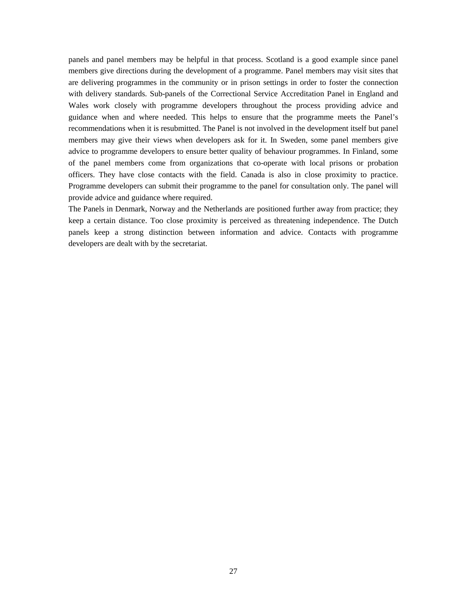panels and panel members may be helpful in that process. Scotland is a good example since panel members give directions during the development of a programme. Panel members may visit sites that are delivering programmes in the community or in prison settings in order to foster the connection with delivery standards. Sub-panels of the Correctional Service Accreditation Panel in England and Wales work closely with programme developers throughout the process providing advice and guidance when and where needed. This helps to ensure that the programme meets the Panel's recommendations when it is resubmitted. The Panel is not involved in the development itself but panel members may give their views when developers ask for it. In Sweden, some panel members give advice to programme developers to ensure better quality of behaviour programmes. In Finland, some of the panel members come from organizations that co-operate with local prisons or probation officers. They have close contacts with the field. Canada is also in close proximity to practice. Programme developers can submit their programme to the panel for consultation only. The panel will provide advice and guidance where required.

The Panels in Denmark, Norway and the Netherlands are positioned further away from practice; they keep a certain distance. Too close proximity is perceived as threatening independence. The Dutch panels keep a strong distinction between information and advice. Contacts with programme developers are dealt with by the secretariat.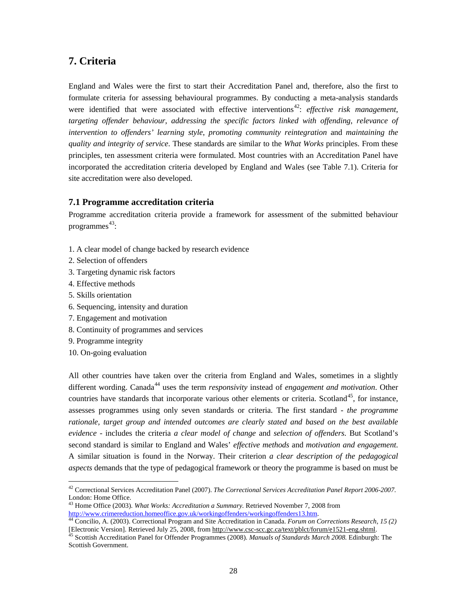# **7. Criteria**

England and Wales were the first to start their Accreditation Panel and, therefore, also the first to formulate criteria for assessing behavioural programmes. By conducting a meta-analysis standards were identified that were associated with effective interventions<sup>[42](#page-27-0)</sup>: *effective risk management*, *targeting offender behaviour*, *addressing the specific factors linked with offending*, *relevance of intervention to offenders' learning style*, *promoting community reintegration* and *maintaining the quality and integrity of service*. These standards are similar to the *What Works* principles. From these principles, ten assessment criteria were formulated. Most countries with an Accreditation Panel have incorporated the accreditation criteria developed by England and Wales (see Table 7.1). Criteria for site accreditation were also developed.

### **7.1 Programme accreditation criteria**

Programme accreditation criteria provide a framework for assessment of the submitted behaviour programmes [43](#page-27-1) :

- 1. A clear model of change backed by research evidence
- 2. Selection of offenders
- 3. Targeting dynamic risk factors
- 4. Effective methods
- 5. Skills orientation
- 6. Sequencing, intensity and duration
- 7. Engagement and motivation
- 8. Continuity of programmes and services
- 9. Programme integrity
- 10. On-going evaluation

All other countries have taken over the criteria from England and Wales, sometimes in a slightly different wording. Canada<sup>[44](#page-27-2)</sup> uses the term *responsivity* instead of *engagement and motivation*. Other countries have standards that incorporate various other elements or criteria. Scotland<sup>[45](#page-27-3)</sup>, for instance, assesses programmes using only seven standards or criteria. The first standard - *the programme rationale, target group and intended outcomes are clearly stated and based on the best available evidence* - includes the criteria *a clear model of change* and *selection of offenders*. But Scotland's second standard is similar to England and Wales' *effective methods* and *motivation and engagement*. A similar situation is found in the Norway. Their criterion *a clear description of the pedagogical aspects* demands that the type of pedagogical framework or theory the programme is based on must be

<span id="page-27-0"></span> <sup>42</sup> Correctional Services Accreditation Panel (2007). *The Correctional Services Accreditation Panel Report 2006-2007.*  London: Home Office.

<span id="page-27-1"></span><sup>43</sup> Home Office (2003). *What Works: Accreditation a Summary.* Retrieved November 7, 2008 from

<span id="page-27-2"></span>[http://www.crimereduction.homeoffice.gov.uk/workingoffenders/workingoffenders13.htm.](http://www.crimereduction.homeoffice.gov.uk/workingoffenders/workingoffenders13.htm)<br><sup>[44](http://www.crimereduction.homeoffice.gov.uk/workingoffenders/workingoffenders13.htm)</sup> Concilio, A. (2003). Correctional Program and Site Accreditation in Canada. *Forum on Corrections Research*, 15 (2)<br>[Electronic Vers

<span id="page-27-3"></span><sup>45</sup> Scottish Accreditation Panel for Offender Programmes (2008). Manuals of Standards March 2008. Edinburgh: The Scottish Government.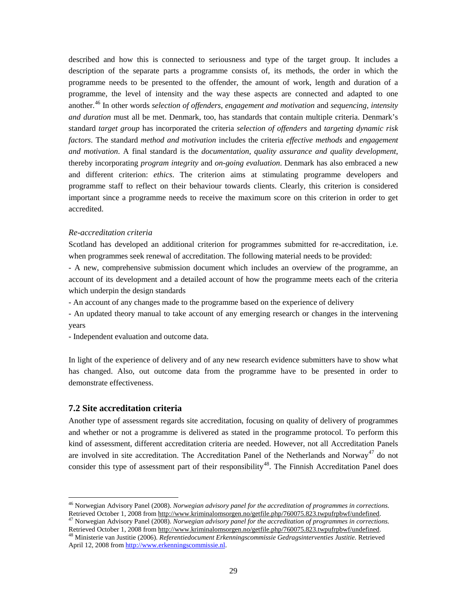described and how this is connected to seriousness and type of the target group. It includes a description of the separate parts a programme consists of, its methods, the order in which the programme needs to be presented to the offender, the amount of work, length and duration of a programme, the level of intensity and the way these aspects are connected and adapted to one another. [46](#page-28-0) In other words *selection of offenders*, *engagement and motivation* and *sequencing, intensity and duration* must all be met. Denmark, too, has standards that contain multiple criteria. Denmark's standard *target group* has incorporated the criteria *selection of offenders* and *targeting dynamic risk factors*. The standard *method and motivation* includes the criteria *effective methods* and *engagement and motivation*. A final standard is the *documentation, quality assurance and quality development*, thereby incorporating *program integrity* and *on-going evaluation*. Denmark has also embraced a new and different criterion: *ethics*. The criterion aims at stimulating programme developers and programme staff to reflect on their behaviour towards clients. Clearly, this criterion is considered important since a programme needs to receive the maximum score on this criterion in order to get accredited.

#### *Re-accreditation criteria*

Scotland has developed an additional criterion for programmes submitted for re-accreditation, i.e. when programmes seek renewal of accreditation. The following material needs to be provided:

- A new, comprehensive submission document which includes an overview of the programme, an account of its development and a detailed account of how the programme meets each of the criteria which underpin the design standards

- An account of any changes made to the programme based on the experience of delivery

- An updated theory manual to take account of any emerging research or changes in the intervening years
- Independent evaluation and outcome data.

In light of the experience of delivery and of any new research evidence submitters have to show what has changed. Also, out outcome data from the programme have to be presented in order to demonstrate effectiveness.

### **7.2 Site accreditation criteria**

Another type of assessment regards site accreditation, focusing on quality of delivery of programmes and whether or not a programme is delivered as stated in the programme protocol. To perform this kind of assessment, different accreditation criteria are needed. However, not all Accreditation Panels are involved in site accreditation. The Accreditation Panel of the Netherlands and Norway<sup>[47](#page-28-1)</sup> do not consider this type of assessment part of their responsibility<sup>[48](#page-28-2)</sup>. The Finnish Accreditation Panel does

<span id="page-28-0"></span> <sup>46</sup> Norwegian Advisory Panel (2008). *Norwegian advisory panel for the accreditation of programmes in corrections*. Retrieved October 1, 2008 from http://www.kriminalomsorgen.no/getfile.php/760075.823.twpufrpbwf/undefined.

<span id="page-28-1"></span><sup>&</sup>lt;sup>47</sup> Norwegian Advisory Panel (2008). *Norwegian advisory panel for the accreditation of programmes in corrections.*<br>Retrieved October 1, 2008 from http://www.kriminalomsorgen.no/getfile.php/760075.823.twpufrpbwf/undefined <sup>48</sup> Ministerie van Justitie (2006). Referentiedocument Erkenningscommissie Gedragsinterventies Justitie. Retrieved

<span id="page-28-2"></span>April 12, 2008 fro[m http://www.erkenningscommissie.nl.](http://www.erkenningscommissie.nl/)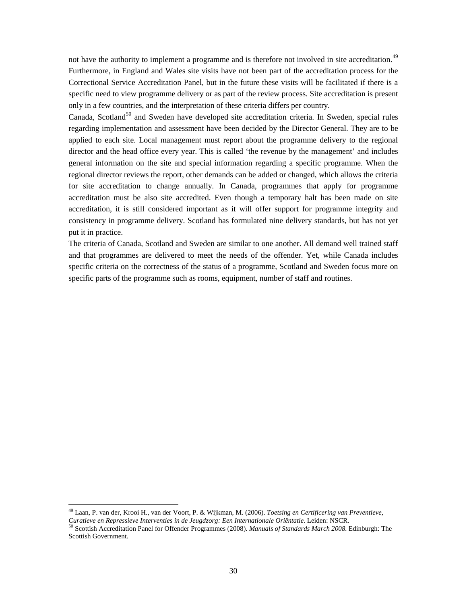not have the authority to implement a programme and is therefore not involved in site accreditation.<sup>[49](#page-29-0)</sup> Furthermore, in England and Wales site visits have not been part of the accreditation process for the Correctional Service Accreditation Panel, but in the future these visits will be facilitated if there is a specific need to view programme delivery or as part of the review process. Site accreditation is present only in a few countries, and the interpretation of these criteria differs per country.

Canada, Scotland<sup>[50](#page-29-1)</sup> and Sweden have developed site accreditation criteria. In Sweden, special rules regarding implementation and assessment have been decided by the Director General. They are to be applied to each site. Local management must report about the programme delivery to the regional director and the head office every year. This is called 'the revenue by the management' and includes general information on the site and special information regarding a specific programme. When the regional director reviews the report, other demands can be added or changed, which allows the criteria for site accreditation to change annually. In Canada, programmes that apply for programme accreditation must be also site accredited. Even though a temporary halt has been made on site accreditation, it is still considered important as it will offer support for programme integrity and consistency in programme delivery. Scotland has formulated nine delivery standards, but has not yet put it in practice.

The criteria of Canada, Scotland and Sweden are similar to one another. All demand well trained staff and that programmes are delivered to meet the needs of the offender. Yet, while Canada includes specific criteria on the correctness of the status of a programme, Scotland and Sweden focus more on specific parts of the programme such as rooms, equipment, number of staff and routines.

<span id="page-29-1"></span><span id="page-29-0"></span> 49 Laan, P. van der, Krooi H., van der Voort, P. & Wijkman, M. (2006). *Toetsing en Certificering van Preventieve,*  <sup>50</sup> Scottish Accreditation Panel for Offender Programmes (2008). Manuals of Standards March 2008. Edinburgh: The Scottish Government.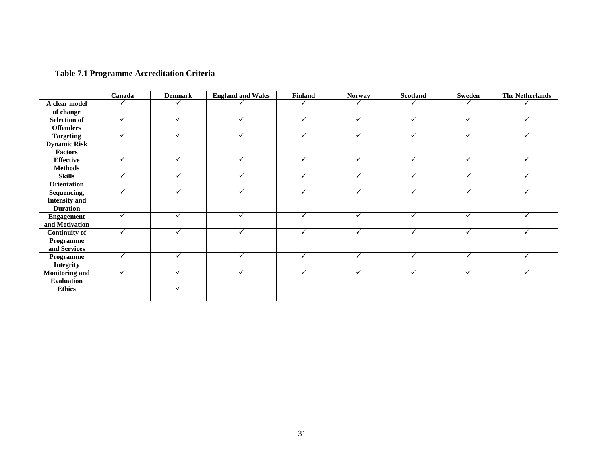# **Table 7.1 Programme Accreditation Criteria**

|                                         | Canada | <b>Denmark</b> | <b>England and Wales</b> | Finland      | <b>Norway</b> | Scotland     | Sweden       | <b>The Netherlands</b> |
|-----------------------------------------|--------|----------------|--------------------------|--------------|---------------|--------------|--------------|------------------------|
| A clear model                           |        |                |                          |              |               |              |              |                        |
| of change                               |        |                |                          |              |               |              |              |                        |
| <b>Selection of</b><br><b>Offenders</b> | ✓      | ✓              | ✓                        | $\checkmark$ | ✓             | ✓            | $\checkmark$ | ✓                      |
| <b>Targeting</b>                        | ✓      | ✓              |                          | ✓            | ✓             | ✓            | $\checkmark$ |                        |
| <b>Dynamic Risk</b>                     |        |                |                          |              |               |              |              |                        |
| Factors                                 |        |                |                          |              |               |              |              |                        |
| <b>Effective</b>                        | ✓      | ✓              | ✓                        | $\checkmark$ | $\checkmark$  | $\checkmark$ | $\checkmark$ | ✓                      |
| <b>Methods</b>                          |        |                |                          |              |               |              |              |                        |
| <b>Skills</b>                           | ✓      | ✓              | ✓                        | ✓            | $\checkmark$  | $\checkmark$ | ✓            | ✓                      |
| Orientation                             |        |                |                          |              |               |              |              |                        |
| Sequencing,                             | ✓      | ✓              | ✓                        | $\checkmark$ | $\checkmark$  | $\checkmark$ | $\checkmark$ |                        |
| <b>Intensity and</b>                    |        |                |                          |              |               |              |              |                        |
| <b>Duration</b>                         |        |                |                          |              |               |              |              |                        |
| <b>Engagement</b>                       | ✓      | ✓              | ✓                        | ✓            | $\checkmark$  | ✓            | ✓            | ✓                      |
| and Motivation                          |        |                |                          |              |               |              |              |                        |
| <b>Continuity of</b>                    | ✓      | ✓              | ✓                        | $\checkmark$ | ✓             | ✓            | ✓            |                        |
| Programme                               |        |                |                          |              |               |              |              |                        |
| and Services                            |        |                |                          |              |               |              |              |                        |
| Programme                               | ✓      | ✓              | ✓                        | ✓            | ✓             | ✓            | $\checkmark$ | ✓                      |
| <b>Integrity</b>                        |        |                |                          |              |               |              |              |                        |
| <b>Monitoring and</b>                   | ✓      | ✓              | ✓                        | ✓            | $\checkmark$  | ✓            | ✓            |                        |
| <b>Evaluation</b>                       |        |                |                          |              |               |              |              |                        |
| <b>Ethics</b>                           |        | ✓              |                          |              |               |              |              |                        |
|                                         |        |                |                          |              |               |              |              |                        |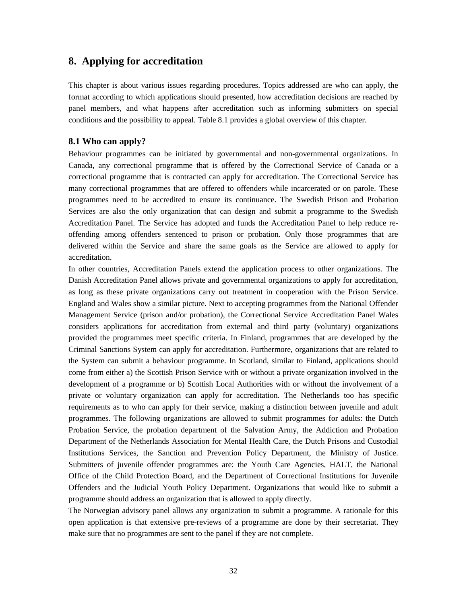# **8. Applying for accreditation**

This chapter is about various issues regarding procedures. Topics addressed are who can apply, the format according to which applications should presented, how accreditation decisions are reached by panel members, and what happens after accreditation such as informing submitters on special conditions and the possibility to appeal. Table 8.1 provides a global overview of this chapter.

### **8.1 Who can apply?**

Behaviour programmes can be initiated by governmental and non-governmental organizations. In Canada, any correctional programme that is offered by the Correctional Service of Canada or a correctional programme that is contracted can apply for accreditation. The Correctional Service has many correctional programmes that are offered to offenders while incarcerated or on parole. These programmes need to be accredited to ensure its continuance. The Swedish Prison and Probation Services are also the only organization that can design and submit a programme to the Swedish Accreditation Panel. The Service has adopted and funds the Accreditation Panel to help reduce reoffending among offenders sentenced to prison or probation. Only those programmes that are delivered within the Service and share the same goals as the Service are allowed to apply for accreditation.

In other countries, Accreditation Panels extend the application process to other organizations. The Danish Accreditation Panel allows private and governmental organizations to apply for accreditation, as long as these private organizations carry out treatment in cooperation with the Prison Service. England and Wales show a similar picture. Next to accepting programmes from the National Offender Management Service (prison and/or probation), the Correctional Service Accreditation Panel Wales considers applications for accreditation from external and third party (voluntary) organizations provided the programmes meet specific criteria. In Finland, programmes that are developed by the Criminal Sanctions System can apply for accreditation. Furthermore, organizations that are related to the System can submit a behaviour programme. In Scotland, similar to Finland, applications should come from either a) the Scottish Prison Service with or without a private organization involved in the development of a programme or b) Scottish Local Authorities with or without the involvement of a private or voluntary organization can apply for accreditation. The Netherlands too has specific requirements as to who can apply for their service, making a distinction between juvenile and adult programmes. The following organizations are allowed to submit programmes for adults: the Dutch Probation Service, the probation department of the Salvation Army, the Addiction and Probation Department of the Netherlands Association for Mental Health Care, the Dutch Prisons and Custodial Institutions Services, the Sanction and Prevention Policy Department, the Ministry of Justice. Submitters of juvenile offender programmes are: the Youth Care Agencies, HALT, the National Office of the Child Protection Board, and the Department of Correctional Institutions for Juvenile Offenders and the Judicial Youth Policy Department. Organizations that would like to submit a programme should address an organization that is allowed to apply directly.

The Norwegian advisory panel allows any organization to submit a programme. A rationale for this open application is that extensive pre-reviews of a programme are done by their secretariat. They make sure that no programmes are sent to the panel if they are not complete.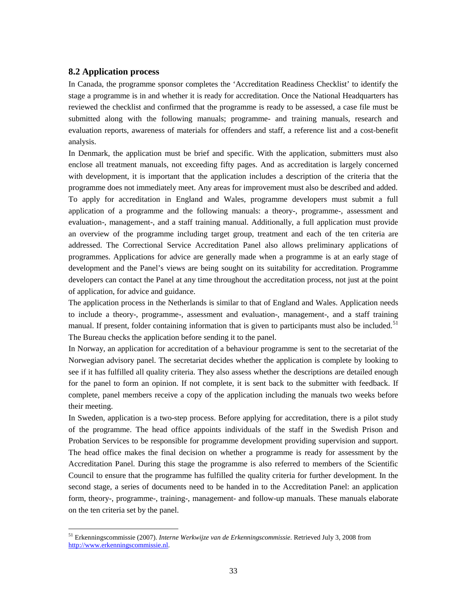### **8.2 Application process**

In Canada, the programme sponsor completes the 'Accreditation Readiness Checklist' to identify the stage a programme is in and whether it is ready for accreditation. Once the National Headquarters has reviewed the checklist and confirmed that the programme is ready to be assessed, a case file must be submitted along with the following manuals; programme- and training manuals, research and evaluation reports, awareness of materials for offenders and staff, a reference list and a cost-benefit analysis.

In Denmark, the application must be brief and specific. With the application, submitters must also enclose all treatment manuals, not exceeding fifty pages. And as accreditation is largely concerned with development, it is important that the application includes a description of the criteria that the programme does not immediately meet. Any areas for improvement must also be described and added. To apply for accreditation in England and Wales, programme developers must submit a full application of a programme and the following manuals: a theory-, programme-, assessment and evaluation-, management-, and a staff training manual. Additionally, a full application must provide an overview of the programme including target group, treatment and each of the ten criteria are addressed. The Correctional Service Accreditation Panel also allows preliminary applications of programmes. Applications for advice are generally made when a programme is at an early stage of development and the Panel's views are being sought on its suitability for accreditation. Programme developers can contact the Panel at any time throughout the accreditation process, not just at the point of application, for advice and guidance.

The application process in the Netherlands is similar to that of England and Wales. Application needs to include a theory-, programme-, assessment and evaluation-, management-, and a staff training manual. If present, folder containing information that is given to participants must also be included.<sup>[51](#page-32-0)</sup> The Bureau checks the application before sending it to the panel.

In Norway, an application for accreditation of a behaviour programme is sent to the secretariat of the Norwegian advisory panel. The secretariat decides whether the application is complete by looking to see if it has fulfilled all quality criteria. They also assess whether the descriptions are detailed enough for the panel to form an opinion. If not complete, it is sent back to the submitter with feedback. If complete, panel members receive a copy of the application including the manuals two weeks before their meeting.

In Sweden, application is a two-step process. Before applying for accreditation, there is a pilot study of the programme. The head office appoints individuals of the staff in the Swedish Prison and Probation Services to be responsible for programme development providing supervision and support. The head office makes the final decision on whether a programme is ready for assessment by the Accreditation Panel. During this stage the programme is also referred to members of the Scientific Council to ensure that the programme has fulfilled the quality criteria for further development. In the second stage, a series of documents need to be handed in to the Accreditation Panel: an application form, theory-, programme-, training-, management- and follow-up manuals. These manuals elaborate on the ten criteria set by the panel.

<span id="page-32-0"></span> <sup>51</sup> Erkenningscommissie (2007). *Interne Werkwijze van de Erkenningscommissie*. Retrieved July 3, 2008 from [http://www.erkenningscommissie.nl.](http://www.erkenningscommissie.nl/)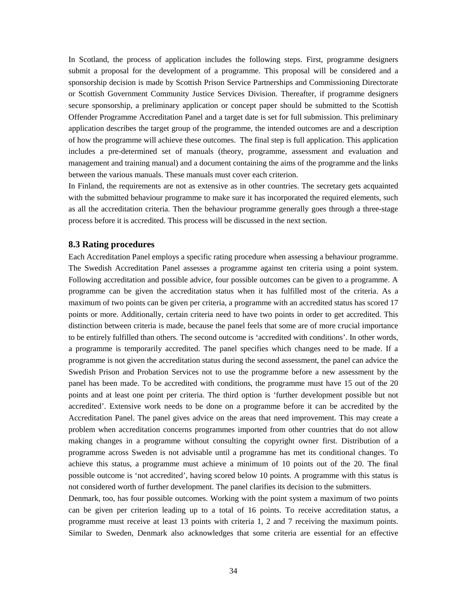In Scotland, the process of application includes the following steps. First, programme designers submit a proposal for the development of a programme. This proposal will be considered and a sponsorship decision is made by Scottish Prison Service Partnerships and Commissioning Directorate or Scottish Government Community Justice Services Division. Thereafter, if programme designers secure sponsorship, a preliminary application or concept paper should be submitted to the Scottish Offender Programme Accreditation Panel and a target date is set for full submission. This preliminary application describes the target group of the programme, the intended outcomes are and a description of how the programme will achieve these outcomes. The final step is full application. This application includes a pre-determined set of manuals (theory, programme, assessment and evaluation and management and training manual) and a document containing the aims of the programme and the links between the various manuals. These manuals must cover each criterion.

In Finland, the requirements are not as extensive as in other countries. The secretary gets acquainted with the submitted behaviour programme to make sure it has incorporated the required elements, such as all the accreditation criteria. Then the behaviour programme generally goes through a three-stage process before it is accredited. This process will be discussed in the next section.

#### **8.3 Rating procedures**

Each Accreditation Panel employs a specific rating procedure when assessing a behaviour programme. The Swedish Accreditation Panel assesses a programme against ten criteria using a point system. Following accreditation and possible advice, four possible outcomes can be given to a programme. A programme can be given the accreditation status when it has fulfilled most of the criteria. As a maximum of two points can be given per criteria, a programme with an accredited status has scored 17 points or more. Additionally, certain criteria need to have two points in order to get accredited. This distinction between criteria is made, because the panel feels that some are of more crucial importance to be entirely fulfilled than others. The second outcome is 'accredited with conditions'. In other words, a programme is temporarily accredited. The panel specifies which changes need to be made. If a programme is not given the accreditation status during the second assessment, the panel can advice the Swedish Prison and Probation Services not to use the programme before a new assessment by the panel has been made. To be accredited with conditions, the programme must have 15 out of the 20 points and at least one point per criteria. The third option is 'further development possible but not accredited'. Extensive work needs to be done on a programme before it can be accredited by the Accreditation Panel. The panel gives advice on the areas that need improvement. This may create a problem when accreditation concerns programmes imported from other countries that do not allow making changes in a programme without consulting the copyright owner first. Distribution of a programme across Sweden is not advisable until a programme has met its conditional changes. To achieve this status, a programme must achieve a minimum of 10 points out of the 20. The final possible outcome is 'not accredited', having scored below 10 points. A programme with this status is not considered worth of further development. The panel clarifies its decision to the submitters.

Denmark, too, has four possible outcomes. Working with the point system a maximum of two points can be given per criterion leading up to a total of 16 points. To receive accreditation status, a programme must receive at least 13 points with criteria 1, 2 and 7 receiving the maximum points. Similar to Sweden, Denmark also acknowledges that some criteria are essential for an effective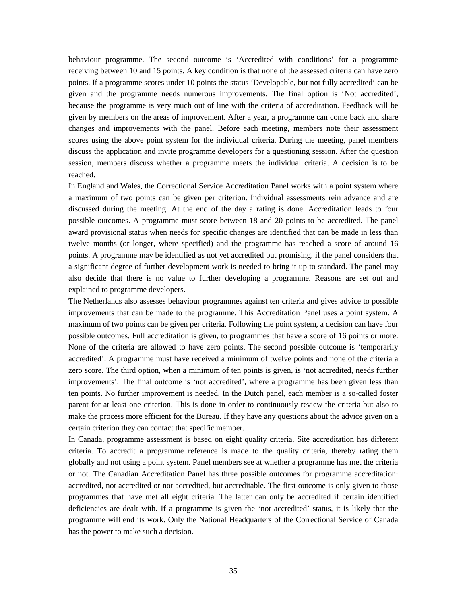behaviour programme. The second outcome is 'Accredited with conditions' for a programme receiving between 10 and 15 points. A key condition is that none of the assessed criteria can have zero points. If a programme scores under 10 points the status 'Developable, but not fully accredited' can be given and the programme needs numerous improvements. The final option is 'Not accredited', because the programme is very much out of line with the criteria of accreditation. Feedback will be given by members on the areas of improvement. After a year, a programme can come back and share changes and improvements with the panel. Before each meeting, members note their assessment scores using the above point system for the individual criteria. During the meeting, panel members discuss the application and invite programme developers for a questioning session. After the question session, members discuss whether a programme meets the individual criteria. A decision is to be reached.

In England and Wales, the Correctional Service Accreditation Panel works with a point system where a maximum of two points can be given per criterion. Individual assessments rein advance and are discussed during the meeting. At the end of the day a rating is done. Accreditation leads to four possible outcomes. A programme must score between 18 and 20 points to be accredited. The panel award provisional status when needs for specific changes are identified that can be made in less than twelve months (or longer, where specified) and the programme has reached a score of around 16 points. A programme may be identified as not yet accredited but promising, if the panel considers that a significant degree of further development work is needed to bring it up to standard. The panel may also decide that there is no value to further developing a programme. Reasons are set out and explained to programme developers.

The Netherlands also assesses behaviour programmes against ten criteria and gives advice to possible improvements that can be made to the programme. This Accreditation Panel uses a point system. A maximum of two points can be given per criteria. Following the point system, a decision can have four possible outcomes. Full accreditation is given, to programmes that have a score of 16 points or more. None of the criteria are allowed to have zero points. The second possible outcome is 'temporarily accredited'. A programme must have received a minimum of twelve points and none of the criteria a zero score. The third option, when a minimum of ten points is given, is 'not accredited, needs further improvements'. The final outcome is 'not accredited', where a programme has been given less than ten points. No further improvement is needed. In the Dutch panel, each member is a so-called foster parent for at least one criterion. This is done in order to continuously review the criteria but also to make the process more efficient for the Bureau. If they have any questions about the advice given on a certain criterion they can contact that specific member.

In Canada, programme assessment is based on eight quality criteria. Site accreditation has different criteria. To accredit a programme reference is made to the quality criteria, thereby rating them globally and not using a point system. Panel members see at whether a programme has met the criteria or not. The Canadian Accreditation Panel has three possible outcomes for programme accreditation: accredited, not accredited or not accredited, but accreditable. The first outcome is only given to those programmes that have met all eight criteria. The latter can only be accredited if certain identified deficiencies are dealt with. If a programme is given the 'not accredited' status, it is likely that the programme will end its work. Only the National Headquarters of the Correctional Service of Canada has the power to make such a decision.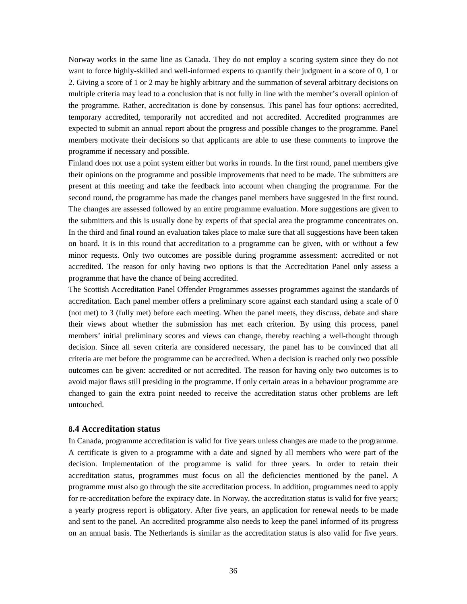Norway works in the same line as Canada. They do not employ a scoring system since they do not want to force highly-skilled and well-informed experts to quantify their judgment in a score of 0, 1 or 2. Giving a score of 1 or 2 may be highly arbitrary and the summation of several arbitrary decisions on multiple criteria may lead to a conclusion that is not fully in line with the member's overall opinion of the programme. Rather, accreditation is done by consensus. This panel has four options: accredited, temporary accredited, temporarily not accredited and not accredited. Accredited programmes are expected to submit an annual report about the progress and possible changes to the programme. Panel members motivate their decisions so that applicants are able to use these comments to improve the programme if necessary and possible.

Finland does not use a point system either but works in rounds. In the first round, panel members give their opinions on the programme and possible improvements that need to be made. The submitters are present at this meeting and take the feedback into account when changing the programme. For the second round, the programme has made the changes panel members have suggested in the first round. The changes are assessed followed by an entire programme evaluation. More suggestions are given to the submitters and this is usually done by experts of that special area the programme concentrates on. In the third and final round an evaluation takes place to make sure that all suggestions have been taken on board. It is in this round that accreditation to a programme can be given, with or without a few minor requests. Only two outcomes are possible during programme assessment: accredited or not accredited. The reason for only having two options is that the Accreditation Panel only assess a programme that have the chance of being accredited.

The Scottish Accreditation Panel Offender Programmes assesses programmes against the standards of accreditation. Each panel member offers a preliminary score against each standard using a scale of 0 (not met) to 3 (fully met) before each meeting. When the panel meets, they discuss, debate and share their views about whether the submission has met each criterion. By using this process, panel members' initial preliminary scores and views can change, thereby reaching a well-thought through decision. Since all seven criteria are considered necessary, the panel has to be convinced that all criteria are met before the programme can be accredited. When a decision is reached only two possible outcomes can be given: accredited or not accredited. The reason for having only two outcomes is to avoid major flaws still presiding in the programme. If only certain areas in a behaviour programme are changed to gain the extra point needed to receive the accreditation status other problems are left untouched.

### **8.4 Accreditation status**

In Canada, programme accreditation is valid for five years unless changes are made to the programme. A certificate is given to a programme with a date and signed by all members who were part of the decision. Implementation of the programme is valid for three years. In order to retain their accreditation status, programmes must focus on all the deficiencies mentioned by the panel. A programme must also go through the site accreditation process. In addition, programmes need to apply for re-accreditation before the expiracy date. In Norway, the accreditation status is valid for five years; a yearly progress report is obligatory. After five years, an application for renewal needs to be made and sent to the panel. An accredited programme also needs to keep the panel informed of its progress on an annual basis. The Netherlands is similar as the accreditation status is also valid for five years.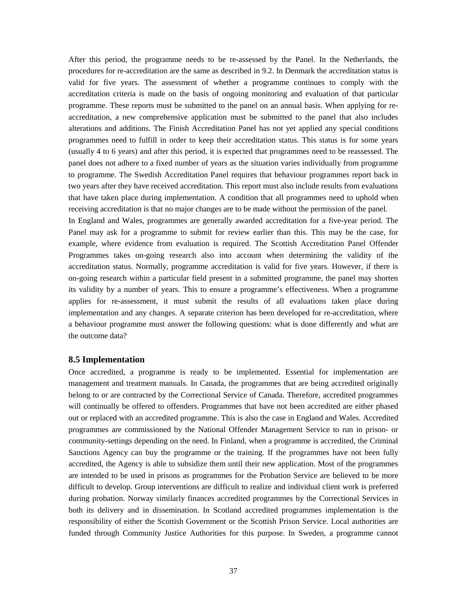After this period, the programme needs to be re-assessed by the Panel. In the Netherlands, the procedures for re-accreditation are the same as described in 9.2. In Denmark the accreditation status is valid for five years. The assessment of whether a programme continues to comply with the accreditation criteria is made on the basis of ongoing monitoring and evaluation of that particular programme. These reports must be submitted to the panel on an annual basis. When applying for reaccreditation, a new comprehensive application must be submitted to the panel that also includes alterations and additions. The Finish Accreditation Panel has not yet applied any special conditions programmes need to fulfill in order to keep their accreditation status. This status is for some years (usually 4 to 6 years) and after this period, it is expected that programmes need to be reassessed. The panel does not adhere to a fixed number of years as the situation varies individually from programme to programme. The Swedish Accreditation Panel requires that behaviour programmes report back in two years after they have received accreditation. This report must also include results from evaluations that have taken place during implementation. A condition that all programmes need to uphold when receiving accreditation is that no major changes are to be made without the permission of the panel.

In England and Wales, programmes are generally awarded accreditation for a five-year period. The Panel may ask for a programme to submit for review earlier than this. This may be the case, for example, where evidence from evaluation is required. The Scottish Accreditation Panel Offender Programmes takes on-going research also into account when determining the validity of the accreditation status. Normally, programme accreditation is valid for five years. However, if there is on-going research within a particular field present in a submitted programme, the panel may shorten its validity by a number of years. This to ensure a programme's effectiveness. When a programme applies for re-assessment, it must submit the results of all evaluations taken place during implementation and any changes. A separate criterion has been developed for re-accreditation, where a behaviour programme must answer the following questions: what is done differently and what are the outcome data?

### **8.5 Implementation**

Once accredited, a programme is ready to be implemented. Essential for implementation are management and treatment manuals. In Canada, the programmes that are being accredited originally belong to or are contracted by the Correctional Service of Canada. Therefore, accredited programmes will continually be offered to offenders. Programmes that have not been accredited are either phased out or replaced with an accredited programme. This is also the case in England and Wales. Accredited programmes are commissioned by the National Offender Management Service to run in prison- or community-settings depending on the need. In Finland, when a programme is accredited, the Criminal Sanctions Agency can buy the programme or the training. If the programmes have not been fully accredited, the Agency is able to subsidize them until their new application. Most of the programmes are intended to be used in prisons as programmes for the Probation Service are believed to be more difficult to develop. Group interventions are difficult to realize and individual client work is preferred during probation. Norway similarly finances accredited programmes by the Correctional Services in both its delivery and in dissemination. In Scotland accredited programmes implementation is the responsibility of either the Scottish Government or the Scottish Prison Service. Local authorities are funded through Community Justice Authorities for this purpose. In Sweden, a programme cannot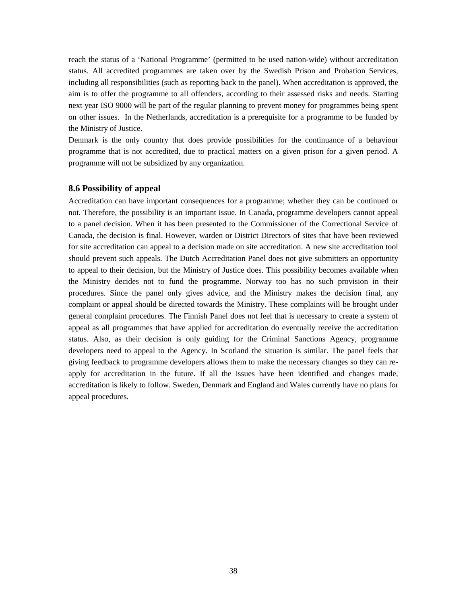reach the status of a 'National Programme' (permitted to be used nation-wide) without accreditation status. All accredited programmes are taken over by the Swedish Prison and Probation Services, including all responsibilities (such as reporting back to the panel). When accreditation is approved, the aim is to offer the programme to all offenders, according to their assessed risks and needs. Starting next year ISO 9000 will be part of the regular planning to prevent money for programmes being spent on other issues. In the Netherlands, accreditation is a prerequisite for a programme to be funded by the Ministry of Justice.

Denmark is the only country that does provide possibilities for the continuance of a behaviour programme that is not accredited, due to practical matters on a given prison for a given period. A programme will not be subsidized by any organization.

### **8.6 Possibility of appeal**

Accreditation can have important consequences for a programme; whether they can be continued or not. Therefore, the possibility is an important issue. In Canada, programme developers cannot appeal to a panel decision. When it has been presented to the Commissioner of the Correctional Service of Canada, the decision is final. However, warden or District Directors of sites that have been reviewed for site accreditation can appeal to a decision made on site accreditation. A new site accreditation tool should prevent such appeals. The Dutch Accreditation Panel does not give submitters an opportunity to appeal to their decision, but the Ministry of Justice does. This possibility becomes available when the Ministry decides not to fund the programme. Norway too has no such provision in their procedures. Since the panel only gives advice, and the Ministry makes the decision final, any complaint or appeal should be directed towards the Ministry. These complaints will be brought under general complaint procedures. The Finnish Panel does not feel that is necessary to create a system of appeal as all programmes that have applied for accreditation do eventually receive the accreditation status. Also, as their decision is only guiding for the Criminal Sanctions Agency, programme developers need to appeal to the Agency. In Scotland the situation is similar. The panel feels that giving feedback to programme developers allows them to make the necessary changes so they can reapply for accreditation in the future. If all the issues have been identified and changes made, accreditation is likely to follow. Sweden, Denmark and England and Wales currently have no plans for appeal procedures.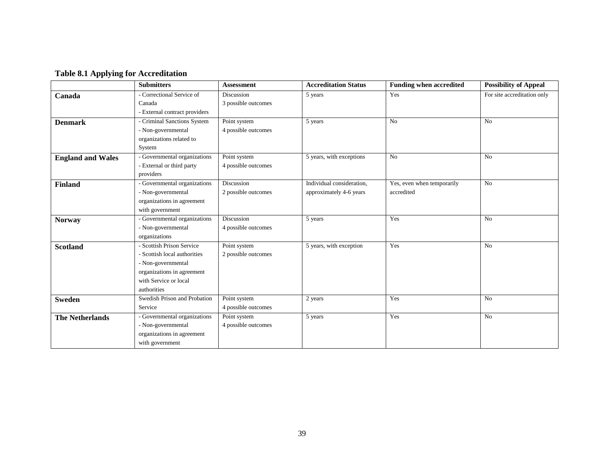# **Table 8.1 Applying for Accreditation**

|                          | <b>Submitters</b>             | <b>Assessment</b>   | <b>Accreditation Status</b> | <b>Funding when accredited</b> | <b>Possibility of Appeal</b> |
|--------------------------|-------------------------------|---------------------|-----------------------------|--------------------------------|------------------------------|
| Canada                   | - Correctional Service of     | Discussion          | 5 years                     | Yes                            | For site accreditation only  |
|                          | Canada                        | 3 possible outcomes |                             |                                |                              |
|                          | - External contract providers |                     |                             |                                |                              |
| <b>Denmark</b>           | - Criminal Sanctions System   | Point system        | 5 years                     | No                             | N <sub>o</sub>               |
|                          | - Non-governmental            | 4 possible outcomes |                             |                                |                              |
|                          | organizations related to      |                     |                             |                                |                              |
|                          | System                        |                     |                             |                                |                              |
| <b>England and Wales</b> | - Governmental organizations  | Point system        | 5 years, with exceptions    | No                             | N <sub>o</sub>               |
|                          | - External or third party     | 4 possible outcomes |                             |                                |                              |
|                          | providers                     |                     |                             |                                |                              |
| <b>Finland</b>           | - Governmental organizations  | Discussion          | Individual consideration,   | Yes, even when temporarily     | No                           |
|                          | - Non-governmental            | 2 possible outcomes | approximately 4-6 years     | accredited                     |                              |
|                          | organizations in agreement    |                     |                             |                                |                              |
|                          | with government               |                     |                             |                                |                              |
| <b>Norway</b>            | - Governmental organizations  | Discussion          | 5 years                     | Yes                            | N <sub>o</sub>               |
|                          | - Non-governmental            | 4 possible outcomes |                             |                                |                              |
|                          | organizations                 |                     |                             |                                |                              |
| <b>Scotland</b>          | - Scottish Prison Service     | Point system        | 5 years, with exception     | Yes                            | N <sub>o</sub>               |
|                          | - Scottish local authorities  | 2 possible outcomes |                             |                                |                              |
|                          | - Non-governmental            |                     |                             |                                |                              |
|                          | organizations in agreement    |                     |                             |                                |                              |
|                          | with Service or local         |                     |                             |                                |                              |
|                          | authorities                   |                     |                             |                                |                              |
| <b>Sweden</b>            | Swedish Prison and Probation  | Point system        | 2 years                     | Yes                            | N <sub>o</sub>               |
|                          | Service                       | 4 possible outcomes |                             |                                |                              |
| <b>The Netherlands</b>   | - Governmental organizations  | Point system        | 5 years                     | Yes                            | No                           |
|                          | - Non-governmental            | 4 possible outcomes |                             |                                |                              |
|                          | organizations in agreement    |                     |                             |                                |                              |
|                          | with government               |                     |                             |                                |                              |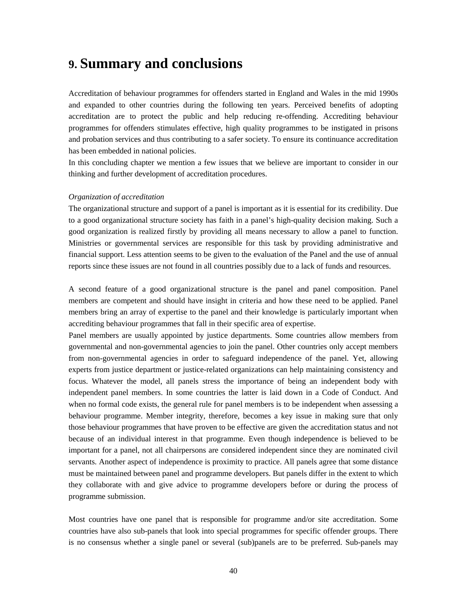# **9. Summary and conclusions**

Accreditation of behaviour programmes for offenders started in England and Wales in the mid 1990s and expanded to other countries during the following ten years. Perceived benefits of adopting accreditation are to protect the public and help reducing re-offending. Accrediting behaviour programmes for offenders stimulates effective, high quality programmes to be instigated in prisons and probation services and thus contributing to a safer society. To ensure its continuance accreditation has been embedded in national policies.

In this concluding chapter we mention a few issues that we believe are important to consider in our thinking and further development of accreditation procedures.

#### *Organization of accreditation*

The organizational structure and support of a panel is important as it is essential for its credibility. Due to a good organizational structure society has faith in a panel's high-quality decision making. Such a good organization is realized firstly by providing all means necessary to allow a panel to function. Ministries or governmental services are responsible for this task by providing administrative and financial support. Less attention seems to be given to the evaluation of the Panel and the use of annual reports since these issues are not found in all countries possibly due to a lack of funds and resources.

A second feature of a good organizational structure is the panel and panel composition. Panel members are competent and should have insight in criteria and how these need to be applied. Panel members bring an array of expertise to the panel and their knowledge is particularly important when accrediting behaviour programmes that fall in their specific area of expertise.

Panel members are usually appointed by justice departments. Some countries allow members from governmental and non-governmental agencies to join the panel. Other countries only accept members from non-governmental agencies in order to safeguard independence of the panel. Yet, allowing experts from justice department or justice-related organizations can help maintaining consistency and focus. Whatever the model, all panels stress the importance of being an independent body with independent panel members. In some countries the latter is laid down in a Code of Conduct. And when no formal code exists, the general rule for panel members is to be independent when assessing a behaviour programme. Member integrity, therefore, becomes a key issue in making sure that only those behaviour programmes that have proven to be effective are given the accreditation status and not because of an individual interest in that programme. Even though independence is believed to be important for a panel, not all chairpersons are considered independent since they are nominated civil servants. Another aspect of independence is proximity to practice. All panels agree that some distance must be maintained between panel and programme developers. But panels differ in the extent to which they collaborate with and give advice to programme developers before or during the process of programme submission.

Most countries have one panel that is responsible for programme and/or site accreditation. Some countries have also sub-panels that look into special programmes for specific offender groups. There is no consensus whether a single panel or several (sub)panels are to be preferred. Sub-panels may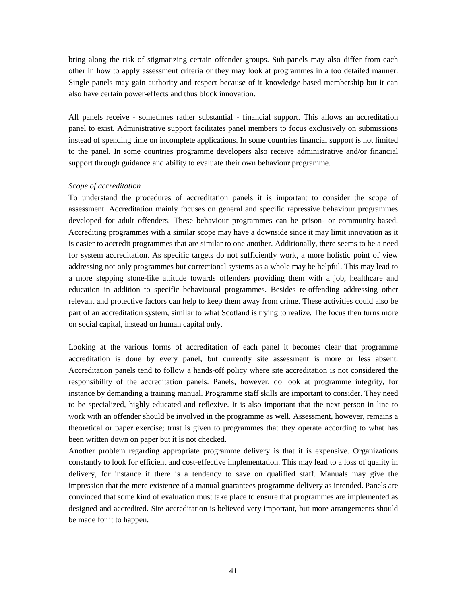bring along the risk of stigmatizing certain offender groups. Sub-panels may also differ from each other in how to apply assessment criteria or they may look at programmes in a too detailed manner. Single panels may gain authority and respect because of it knowledge-based membership but it can also have certain power-effects and thus block innovation.

All panels receive - sometimes rather substantial - financial support. This allows an accreditation panel to exist. Administrative support facilitates panel members to focus exclusively on submissions instead of spending time on incomplete applications. In some countries financial support is not limited to the panel. In some countries programme developers also receive administrative and/or financial support through guidance and ability to evaluate their own behaviour programme.

#### *Scope of accreditation*

To understand the procedures of accreditation panels it is important to consider the scope of assessment. Accreditation mainly focuses on general and specific repressive behaviour programmes developed for adult offenders. These behaviour programmes can be prison- or community-based. Accrediting programmes with a similar scope may have a downside since it may limit innovation as it is easier to accredit programmes that are similar to one another. Additionally, there seems to be a need for system accreditation. As specific targets do not sufficiently work, a more holistic point of view addressing not only programmes but correctional systems as a whole may be helpful. This may lead to a more stepping stone-like attitude towards offenders providing them with a job, healthcare and education in addition to specific behavioural programmes. Besides re-offending addressing other relevant and protective factors can help to keep them away from crime. These activities could also be part of an accreditation system, similar to what Scotland is trying to realize. The focus then turns more on social capital, instead on human capital only.

Looking at the various forms of accreditation of each panel it becomes clear that programme accreditation is done by every panel, but currently site assessment is more or less absent. Accreditation panels tend to follow a hands-off policy where site accreditation is not considered the responsibility of the accreditation panels. Panels, however, do look at programme integrity, for instance by demanding a training manual. Programme staff skills are important to consider. They need to be specialized, highly educated and reflexive. It is also important that the next person in line to work with an offender should be involved in the programme as well. Assessment, however, remains a theoretical or paper exercise; trust is given to programmes that they operate according to what has been written down on paper but it is not checked.

Another problem regarding appropriate programme delivery is that it is expensive. Organizations constantly to look for efficient and cost-effective implementation. This may lead to a loss of quality in delivery, for instance if there is a tendency to save on qualified staff. Manuals may give the impression that the mere existence of a manual guarantees programme delivery as intended. Panels are convinced that some kind of evaluation must take place to ensure that programmes are implemented as designed and accredited. Site accreditation is believed very important, but more arrangements should be made for it to happen.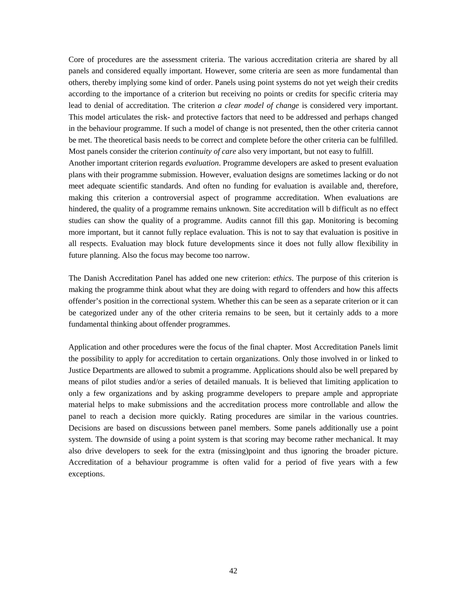Core of procedures are the assessment criteria. The various accreditation criteria are shared by all panels and considered equally important. However, some criteria are seen as more fundamental than others, thereby implying some kind of order. Panels using point systems do not yet weigh their credits according to the importance of a criterion but receiving no points or credits for specific criteria may lead to denial of accreditation. The criterion *a clear model of change* is considered very important. This model articulates the risk- and protective factors that need to be addressed and perhaps changed in the behaviour programme. If such a model of change is not presented, then the other criteria cannot be met. The theoretical basis needs to be correct and complete before the other criteria can be fulfilled. Most panels consider the criterion *continuity of care* also very important, but not easy to fulfill. Another important criterion regards *evaluation*. Programme developers are asked to present evaluation plans with their programme submission. However, evaluation designs are sometimes lacking or do not meet adequate scientific standards. And often no funding for evaluation is available and, therefore, making this criterion a controversial aspect of programme accreditation. When evaluations are hindered, the quality of a programme remains unknown. Site accreditation will b difficult as no effect studies can show the quality of a programme. Audits cannot fill this gap. Monitoring is becoming more important, but it cannot fully replace evaluation. This is not to say that evaluation is positive in all respects. Evaluation may block future developments since it does not fully allow flexibility in future planning. Also the focus may become too narrow.

The Danish Accreditation Panel has added one new criterion: *ethics*. The purpose of this criterion is making the programme think about what they are doing with regard to offenders and how this affects offender's position in the correctional system. Whether this can be seen as a separate criterion or it can be categorized under any of the other criteria remains to be seen, but it certainly adds to a more fundamental thinking about offender programmes.

Application and other procedures were the focus of the final chapter. Most Accreditation Panels limit the possibility to apply for accreditation to certain organizations. Only those involved in or linked to Justice Departments are allowed to submit a programme. Applications should also be well prepared by means of pilot studies and/or a series of detailed manuals. It is believed that limiting application to only a few organizations and by asking programme developers to prepare ample and appropriate material helps to make submissions and the accreditation process more controllable and allow the panel to reach a decision more quickly. Rating procedures are similar in the various countries. Decisions are based on discussions between panel members. Some panels additionally use a point system. The downside of using a point system is that scoring may become rather mechanical. It may also drive developers to seek for the extra (missing)point and thus ignoring the broader picture. Accreditation of a behaviour programme is often valid for a period of five years with a few exceptions.